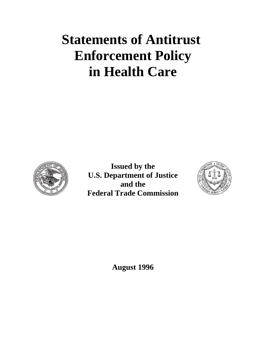# **Statements of Antitrust Enforcement Policy in Health Care**



**Issued by the U.S. Department of Justice and the Federal Trade Commission** 



**August 1996**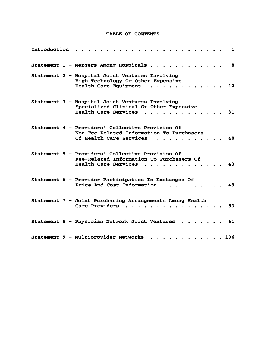### **TABLE OF CONTENTS**

| Introduction | 1                                                                                                                                                                |
|--------------|------------------------------------------------------------------------------------------------------------------------------------------------------------------|
|              | Statement 1 - Mergers Among Hospitals<br>8                                                                                                                       |
|              | Statement 2 - Hospital Joint Ventures Involving<br>High Technology Or Other Expensive<br>12<br><b>Health Care Equipment</b><br>$\mathbf{r}$ and $\mathbf{r}$     |
|              | Statement 3 - Hospital Joint Ventures Involving<br>Specialized Clinical Or Other Expensive<br>Health Care Services<br>31                                         |
|              | Statement 4 - Providers' Collective Provision Of<br>Non-Fee-Related Information To Purchasers<br>Of Health Care Services<br>40                                   |
|              | Statement 5 - Providers' Collective Provision Of<br>Fee-Related Information To Purchasers Of<br>Health Care Services<br>43                                       |
|              | Statement 6 - Provider Participation In Exchanges Of<br>Price And Cost Information<br>49                                                                         |
|              | Statement 7 - Joint Purchasing Arrangements Among Health<br>Care Providers $\cdot \cdot \cdot \cdot \cdot \cdot \cdot \cdot \cdot \cdot \cdot \cdot \cdot$<br>53 |
|              | Statement 8 - Physician Network Joint Ventures 61                                                                                                                |
|              | Statement 9 - Multiprovider Networks<br>. 106                                                                                                                    |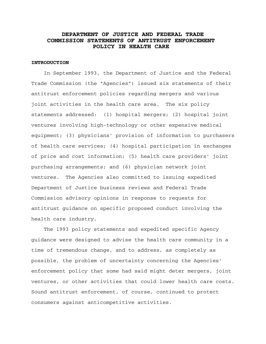## **DEPARTMENT OF JUSTICE AND FEDERAL TRADE COMMISSION STATEMENTS OF ANTITRUST ENFORCEMENT POLICY IN HEALTH CARE**

#### **INTRODUCTION**

In September 1993, the Department of Justice and the Federal Trade Commission (the "Agencies") issued six statements of their antitrust enforcement policies regarding mergers and various joint activities in the health care area. The six policy statements addressed: (1) hospital mergers; (2) hospital joint ventures involving high-technology or other expensive medical equipment; (3) physicians' provision of information to purchasers of health care services; (4) hospital participation in exchanges of price and cost information; (5) health care providers' joint purchasing arrangements; and (6) physician network joint ventures. The Agencies also committed to issuing expedited Department of Justice business reviews and Federal Trade Commission advisory opinions in response to requests for antitrust guidance on specific proposed conduct involving the health care industry.

The 1993 policy statements and expedited specific Agency guidance were designed to advise the health care community in a time of tremendous change, and to address, as completely as possible, the problem of uncertainty concerning the Agencies' enforcement policy that some had said might deter mergers, joint ventures, or other activities that could lower health care costs. Sound antitrust enforcement, of course, continued to protect consumers against anticompetitive activities.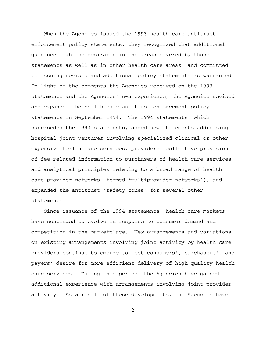When the Agencies issued the 1993 health care antitrust enforcement policy statements, they recognized that additional guidance might be desirable in the areas covered by those statements as well as in other health care areas, and committed to issuing revised and additional policy statements as warranted. In light of the comments the Agencies received on the 1993 statements and the Agencies' own experience, the Agencies revised and expanded the health care antitrust enforcement policy statements in September 1994. The 1994 statements, which superseded the 1993 statements, added new statements addressing hospital joint ventures involving specialized clinical or other expensive health care services, providers' collective provision of fee-related information to purchasers of health care services, and analytical principles relating to a broad range of health care provider networks (termed "multiprovider networks"), and expanded the antitrust "safety zones" for several other statements.

Since issuance of the 1994 statements, health care markets have continued to evolve in response to consumer demand and competition in the marketplace. New arrangements and variations on existing arrangements involving joint activity by health care providers continue to emerge to meet consumers', purchasers', and payers' desire for more efficient delivery of high quality health care services. During this period, the Agencies have gained additional experience with arrangements involving joint provider activity. As a result of these developments, the Agencies have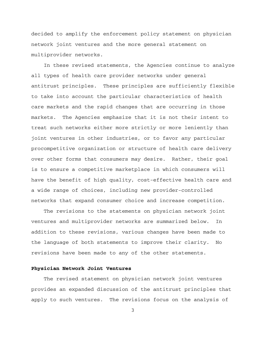decided to amplify the enforcement policy statement on physician network joint ventures and the more general statement on multiprovider networks.

In these revised statements, the Agencies continue to analyze all types of health care provider networks under general antitrust principles. These principles are sufficiently flexible to take into account the particular characteristics of health care markets and the rapid changes that are occurring in those markets. The Agencies emphasize that it is not their intent to treat such networks either more strictly or more leniently than joint ventures in other industries, or to favor any particular procompetitive organization or structure of health care delivery over other forms that consumers may desire. Rather, their goal is to ensure a competitive marketplace in which consumers will have the benefit of high quality, cost-effective health care and a wide range of choices, including new provider-controlled networks that expand consumer choice and increase competition.

The revisions to the statements on physician network joint ventures and multiprovider networks are summarized below. In addition to these revisions, various changes have been made to the language of both statements to improve their clarity. No revisions have been made to any of the other statements.

#### **Physician Network Joint Ventures**

The revised statement on physician network joint ventures provides an expanded discussion of the antitrust principles that apply to such ventures. The revisions focus on the analysis of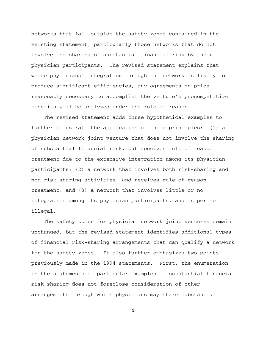networks that fall outside the safety zones contained in the existing statement, particularly those networks that do not involve the sharing of substantial financial risk by their physician participants. The revised statement explains that where physicians' integration through the network is likely to produce significant efficiencies, any agreements on price reasonably necessary to accomplish the venture's procompetitive benefits will be analyzed under the rule of reason.

The revised statement adds three hypothetical examples to further illustrate the application of these principles: (1) a physician network joint venture that does not involve the sharing of substantial financial risk, but receives rule of reason treatment due to the extensive integration among its physician participants; (2) a network that involves both risk-sharing and non-risk-sharing activities, and receives rule of reason treatment; and (3) a network that involves little or no integration among its physician participants, and is per se illegal.

The safety zones for physician network joint ventures remain unchanged, but the revised statement identifies additional types of financial risk-sharing arrangements that can qualify a network for the safety zones. It also further emphasizes two points previously made in the 1994 statements. First, the enumeration in the statements of particular examples of substantial financial risk sharing does not foreclose consideration of other arrangements through which physicians may share substantial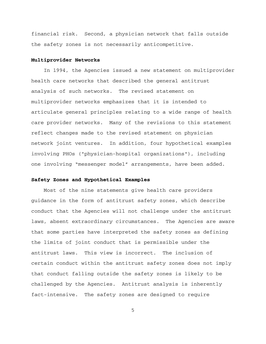financial risk. Second, a physician network that falls outside the safety zones is not necessarily anticompetitive.

#### **Multiprovider Networks**

In 1994, the Agencies issued a new statement on multiprovider health care networks that described the general antitrust analysis of such networks. The revised statement on multiprovider networks emphasizes that it is intended to articulate general principles relating to a wide range of health care provider networks. Many of the revisions to this statement reflect changes made to the revised statement on physician network joint ventures. In addition, four hypothetical examples involving PHOs ("physician-hospital organizations"), including one involving "messenger model" arrangements, have been added.

#### **Safety Zones and Hypothetical Examples**

Most of the nine statements give health care providers guidance in the form of antitrust safety zones, which describe conduct that the Agencies will not challenge under the antitrust laws, absent extraordinary circumstances. The Agencies are aware that some parties have interpreted the safety zones as defining the limits of joint conduct that is permissible under the antitrust laws. This view is incorrect. The inclusion of certain conduct within the antitrust safety zones does not imply that conduct falling outside the safety zones is likely to be challenged by the Agencies. Antitrust analysis is inherently fact-intensive. The safety zones are designed to require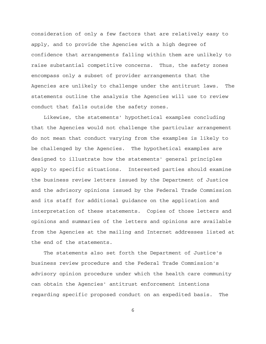consideration of only a few factors that are relatively easy to apply, and to provide the Agencies with a high degree of confidence that arrangements falling within them are unlikely to raise substantial competitive concerns. Thus, the safety zones encompass only a subset of provider arrangements that the Agencies are unlikely to challenge under the antitrust laws. The statements outline the analysis the Agencies will use to review conduct that falls outside the safety zones.

Likewise, the statements' hypothetical examples concluding that the Agencies would not challenge the particular arrangement do not mean that conduct varying from the examples is likely to be challenged by the Agencies. The hypothetical examples are designed to illustrate how the statements' general principles apply to specific situations. Interested parties should examine the business review letters issued by the Department of Justice and the advisory opinions issued by the Federal Trade Commission and its staff for additional guidance on the application and interpretation of these statements. Copies of those letters and opinions and summaries of the letters and opinions are available from the Agencies at the mailing and Internet addresses listed at the end of the statements.

The statements also set forth the Department of Justice's business review procedure and the Federal Trade Commission's advisory opinion procedure under which the health care community can obtain the Agencies' antitrust enforcement intentions regarding specific proposed conduct on an expedited basis. The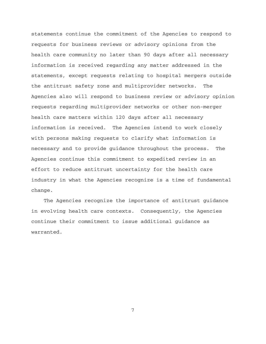statements continue the commitment of the Agencies to respond to requests for business reviews or advisory opinions from the health care community no later than 90 days after all necessary information is received regarding any matter addressed in the statements, except requests relating to hospital mergers outside the antitrust safety zone and multiprovider networks. The Agencies also will respond to business review or advisory opinion requests regarding multiprovider networks or other non-merger health care matters within 120 days after all necessary information is received. The Agencies intend to work closely with persons making requests to clarify what information is necessary and to provide guidance throughout the process. The Agencies continue this commitment to expedited review in an effort to reduce antitrust uncertainty for the health care industry in what the Agencies recognize is a time of fundamental change.

The Agencies recognize the importance of antitrust guidance in evolving health care contexts. Consequently, the Agencies continue their commitment to issue additional guidance as warranted.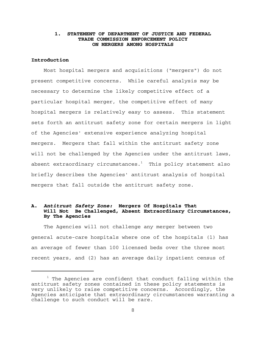#### **1. STATEMENT OF DEPARTMENT OF JUSTICE AND FEDERAL TRADE COMMISSION ENFORCEMENT POLICY ON MERGERS AMONG HOSPITALS**

### **Introduction**

Most hospital mergers and acquisitions ("mergers") do not present competitive concerns. While careful analysis may be necessary to determine the likely competitive effect of a particular hospital merger, the competitive effect of many hospital mergers is relatively easy to assess. This statement sets forth an antitrust safety zone for certain mergers in light of the Agencies' extensive experience analyzing hospital mergers. Mergers that fall within the antitrust safety zone will not be challenged by the Agencies under the antitrust laws, absent extraordinary circumstances. $1$  This policy statement also briefly describes the Agencies' antitrust analysis of hospital mergers that fall outside the antitrust safety zone.

#### **A.** *Antitrust Safety Zone:* **Mergers Of Hospitals That Will Not Be Challenged, Absent Extraordinary Circumstances, By The Agencies**

The Agencies will not challenge any merger between two general acute-care hospitals where one of the hospitals (1) has an average of fewer than 100 licensed beds over the three most recent years, and (2) has an average daily inpatient census of

 $1$  The Agencies are confident that conduct falling within the antitrust safety zones contained in these policy statements is very unlikely to raise competitive concerns. Accordingly, the Agencies anticipate that extraordinary circumstances warranting a challenge to such conduct will be rare.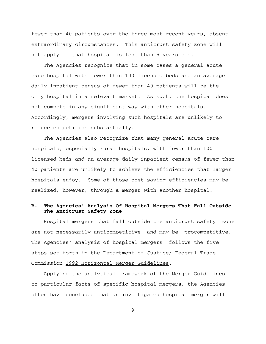fewer than 40 patients over the three most recent years, absent extraordinary circumstances. This antitrust safety zone will not apply if that hospital is less than 5 years old.

The Agencies recognize that in some cases a general acute care hospital with fewer than 100 licensed beds and an average daily inpatient census of fewer than 40 patients will be the only hospital in a relevant market. As such, the hospital does not compete in any significant way with other hospitals. Accordingly, mergers involving such hospitals are unlikely to reduce competition substantially.

The Agencies also recognize that many general acute care hospitals, especially rural hospitals, with fewer than 100 licensed beds and an average daily inpatient census of fewer than 40 patients are unlikely to achieve the efficiencies that larger hospitals enjoy. Some of those cost-saving efficiencies may be realized, however, through a merger with another hospital.

### **B. The Agencies' Analysis Of Hospital Mergers That Fall Outside The Antitrust Safety Zone**

Hospital mergers that fall outside the antitrust safety zone are not necessarily anticompetitive, and may be procompetitive. The Agencies' analysis of hospital mergers follows the five steps set forth in the Department of Justice/ Federal Trade Commission 1992 Horizontal Merger Guidelines.

Applying the analytical framework of the Merger Guidelines to particular facts of specific hospital mergers, the Agencies often have concluded that an investigated hospital merger will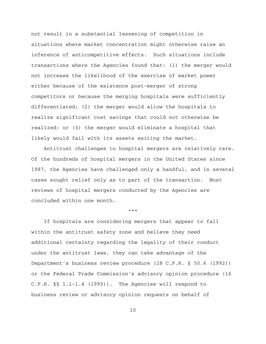not result in a substantial lessening of competition in situations where market concentration might otherwise raise an inference of anticompetitive effects. Such situations include transactions where the Agencies found that: (1) the merger would not increase the likelihood of the exercise of market power either because of the existence post-merger of strong competitors or because the merging hospitals were sufficiently differentiated; (2) the merger would allow the hospitals to realize significant cost savings that could not otherwise be realized; or (3) the merger would eliminate a hospital that likely would fail with its assets exiting the market.

Antitrust challenges to hospital mergers are relatively rare. Of the hundreds of hospital mergers in the United States since 1987, the Agencies have challenged only a handful, and in several cases sought relief only as to part of the transaction. Most reviews of hospital mergers conducted by the Agencies are concluded within one month.

\*\*\*

If hospitals are considering mergers that appear to fall within the antitrust safety zone and believe they need additional certainty regarding the legality of their conduct under the antitrust laws, they can take advantage of the Department's business review procedure (28 C.F.R. § 50.6 (1992)) or the Federal Trade Commission's advisory opinion procedure (16 C.F.R. §§ 1.1-1.4 (1993)). The Agencies will respond to business review or advisory opinion requests on behalf of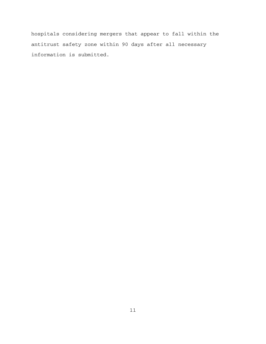hospitals considering mergers that appear to fall within the antitrust safety zone within 90 days after all necessary information is submitted.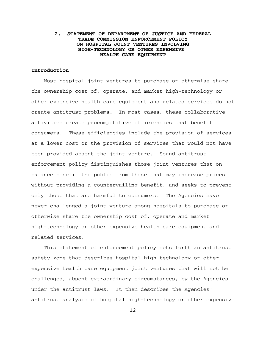#### **2. STATEMENT OF DEPARTMENT OF JUSTICE AND FEDERAL TRADE COMMISSION ENFORCEMENT POLICY ON HOSPITAL JOINT VENTURES INVOLVING HIGH-TECHNOLOGY OR OTHER EXPENSIVE HEALTH CARE EQUIPMENT**

#### **Introduction**

Most hospital joint ventures to purchase or otherwise share the ownership cost of, operate, and market high-technology or other expensive health care equipment and related services do not create antitrust problems. In most cases, these collaborative activities create procompetitive efficiencies that benefit consumers. These efficiencies include the provision of services at a lower cost or the provision of services that would not have been provided absent the joint venture. Sound antitrust enforcement policy distinguishes those joint ventures that on balance benefit the public from those that may increase prices without providing a countervailing benefit, and seeks to prevent only those that are harmful to consumers. The Agencies have never challenged a joint venture among hospitals to purchase or otherwise share the ownership cost of, operate and market high-technology or other expensive health care equipment and related services.

This statement of enforcement policy sets forth an antitrust safety zone that describes hospital high-technology or other expensive health care equipment joint ventures that will not be challenged, absent extraordinary circumstances, by the Agencies under the antitrust laws. It then describes the Agencies' antitrust analysis of hospital high-technology or other expensive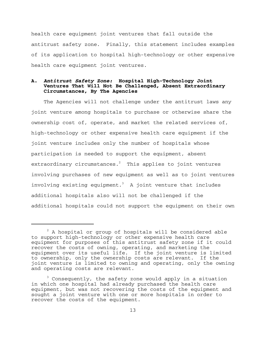health care equipment joint ventures that fall outside the antitrust safety zone. Finally, this statement includes examples of its application to hospital high-technology or other expensive health care equipment joint ventures.

#### **A.** *Antitrust Safety Zone:* **Hospital High-Technology Joint Ventures That Will Not Be Challenged, Absent Extraordinary Circumstances, By The Agencies**

The Agencies will not challenge under the antitrust laws any joint venture among hospitals to purchase or otherwise share the ownership cost of, operate, and market the related services of, high-technology or other expensive health care equipment if the joint venture includes only the number of hospitals whose participation is needed to support the equipment, absent extraordinary circumstances. $^{2}$  This applies to joint ventures involving purchases of new equipment as well as to joint ventures involving existing equipment.<sup>3</sup> A joint venture that includes additional hospitals also will not be challenged if the additional hospitals could not support the equipment on their own

 $2$  A hospital or group of hospitals will be considered able to support high-technology or other expensive health care equipment for purposes of this antitrust safety zone if it could recover the costs of owning, operating, and marketing the equipment over its useful life. If the joint venture is limited to ownership, only the ownership costs are relevant. If the joint venture is limited to owning and operating, only the owning and operating costs are relevant.

 $3$  Consequently, the safety zone would apply in a situation in which one hospital had already purchased the health care equipment, but was not recovering the costs of the equipment and sought a joint venture with one or more hospitals in order to recover the costs of the equipment.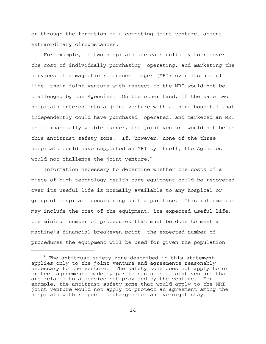or through the formation of a competing joint venture, absent extraordinary circumstances.

For example, if two hospitals are each unlikely to recover the cost of individually purchasing, operating, and marketing the services of a magnetic resonance imager (MRI) over its useful life, their joint venture with respect to the MRI would not be challenged by the Agencies. On the other hand, if the same two hospitals entered into a joint venture with a third hospital that independently could have purchased, operated, and marketed an MRI in a financially viable manner, the joint venture would not be in this antitrust safety zone. If, however, none of the three hospitals could have supported an MRI by itself, the Agencies would not challenge the joint venture. $4$ 

Information necessary to determine whether the costs of a piece of high-technology health care equipment could be recovered over its useful life is normally available to any hospital or group of hospitals considering such a purchase. This information may include the cost of the equipment, its expected useful life, the minimum number of procedures that must be done to meet a machine's financial breakeven point, the expected number of procedures the equipment will be used for given the population

<sup>&</sup>lt;sup>4</sup> The antitrust safety zone described in this statement applies only to the joint venture and agreements reasonably necessary to the venture. The safety zone does not apply to or protect agreements made by participants in a joint venture that are related to a service not provided by the venture. For example, the antitrust safety zone that would apply to the MRI joint venture would not apply to protect an agreement among the hospitals with respect to charges for an overnight stay.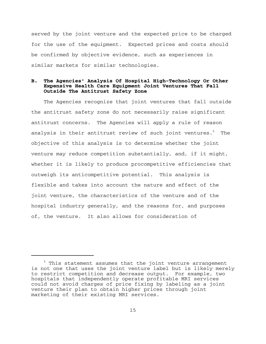served by the joint venture and the expected price to be charged for the use of the equipment. Expected prices and costs should be confirmed by objective evidence, such as experiences in similar markets for similar technologies.

#### **B. The Agencies' Analysis Of Hospital High-Technology Or Other Expensive Health Care Equipment Joint Ventures That Fall Outside The Antitrust Safety Zone**

The Agencies recognize that joint ventures that fall outside the antitrust safety zone do not necessarily raise significant antitrust concerns. The Agencies will apply a rule of reason analysis in their antitrust review of such joint ventures.<sup>5</sup> The objective of this analysis is to determine whether the joint venture may reduce competition substantially, and, if it might, whether it is likely to produce procompetitive efficiencies that outweigh its anticompetitive potential. This analysis is flexible and takes into account the nature and effect of the joint venture, the characteristics of the venture and of the hospital industry generally, and the reasons for, and purposes of, the venture. It also allows for consideration of

<sup>&</sup>lt;sup>5</sup> This statement assumes that the joint venture arrangement is not one that uses the joint venture label but is likely merely to restrict competition and decrease output. For example, two hospitals that independently operate profitable MRI services could not avoid charges of price fixing by labeling as a joint venture their plan to obtain higher prices through joint marketing of their existing MRI services.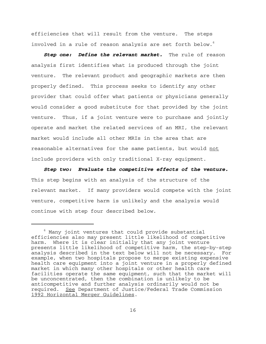efficiencies that will result from the venture. The steps involved in a rule of reason analysis are set forth below.<sup>6</sup>

*Step one: Define the relevant market.* The rule of reason analysis first identifies what is produced through the joint venture. The relevant product and geographic markets are then properly defined. This process seeks to identify any other provider that could offer what patients or physicians generally would consider a good substitute for that provided by the joint venture. Thus, if a joint venture were to purchase and jointly operate and market the related services of an MRI, the relevant market would include all other MRIs in the area that are reasonable alternatives for the same patients, but would not include providers with only traditional X-ray equipment.

*Step two: Evaluate the competitive effects of the venture.*  This step begins with an analysis of the structure of the relevant market. If many providers would compete with the joint venture, competitive harm is unlikely and the analysis would continue with step four described below.

<sup>6</sup> Many joint ventures that could provide substantial efficiencies also may present little likelihood of competitive harm. Where it is clear initially that any joint venture presents little likelihood of competitive harm, the step-by-step analysis described in the text below will not be necessary. For example, when two hospitals propose to merge existing expensive health care equipment into a joint venture in a properly defined market in which many other hospitals or other health care facilities operate the same equipment, such that the market will be unconcentrated, then the combination is unlikely to be anticompetitive and further analysis ordinarily would not be required. See Department of Justice/Federal Trade Commission 1992 Horizontal Merger Guidelines.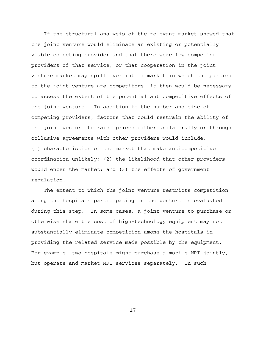If the structural analysis of the relevant market showed that the joint venture would eliminate an existing or potentially viable competing provider and that there were few competing providers of that service, or that cooperation in the joint venture market may spill over into a market in which the parties to the joint venture are competitors, it then would be necessary to assess the extent of the potential anticompetitive effects of the joint venture. In addition to the number and size of competing providers, factors that could restrain the ability of the joint venture to raise prices either unilaterally or through collusive agreements with other providers would include: (1) characteristics of the market that make anticompetitive coordination unlikely; (2) the likelihood that other providers would enter the market; and (3) the effects of government regulation.

The extent to which the joint venture restricts competition among the hospitals participating in the venture is evaluated during this step. In some cases, a joint venture to purchase or otherwise share the cost of high-technology equipment may not substantially eliminate competition among the hospitals in providing the related service made possible by the equipment. For example, two hospitals might purchase a mobile MRI jointly, but operate and market MRI services separately. In such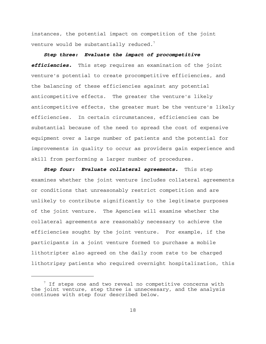instances, the potential impact on competition of the joint venture would be substantially reduced.<sup>7</sup>

*Step three: Evaluate the impact of procompetitive efficiencies.* This step requires an examination of the joint venture's potential to create procompetitive efficiencies, and the balancing of these efficiencies against any potential anticompetitive effects. The greater the venture's likely anticompetitive effects, the greater must be the venture's likely efficiencies. In certain circumstances, efficiencies can be substantial because of the need to spread the cost of expensive equipment over a large number of patients and the potential for improvements in quality to occur as providers gain experience and skill from performing a larger number of procedures.

*Step four: Evaluate collateral agreements.* This step examines whether the joint venture includes collateral agreements or conditions that unreasonably restrict competition and are unlikely to contribute significantly to the legitimate purposes of the joint venture. The Agencies will examine whether the collateral agreements are reasonably necessary to achieve the efficiencies sought by the joint venture. For example, if the participants in a joint venture formed to purchase a mobile lithotripter also agreed on the daily room rate to be charged lithotripsy patients who required overnight hospitalization, this

 $^7$  If steps one and two reveal no competitive concerns with the joint venture, step three is unnecessary, and the analysis continues with step four described below.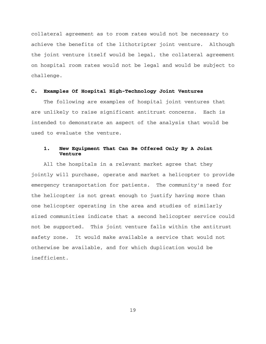collateral agreement as to room rates would not be necessary to achieve the benefits of the lithotripter joint venture. Although the joint venture itself would be legal, the collateral agreement on hospital room rates would not be legal and would be subject to challenge.

#### **C. Examples Of Hospital High-Technology Joint Ventures**

The following are examples of hospital joint ventures that are unlikely to raise significant antitrust concerns. Each is intended to demonstrate an aspect of the analysis that would be used to evaluate the venture.

#### **1. New Equipment That Can Be Offered Only By A Joint Venture**

All the hospitals in a relevant market agree that they jointly will purchase, operate and market a helicopter to provide emergency transportation for patients. The community's need for the helicopter is not great enough to justify having more than one helicopter operating in the area and studies of similarly sized communities indicate that a second helicopter service could not be supported. This joint venture falls within the antitrust safety zone. It would make available a service that would not otherwise be available, and for which duplication would be inefficient.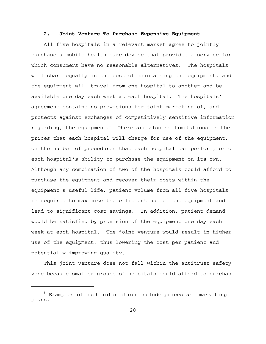#### **2. Joint Venture To Purchase Expensive Equipment**

All five hospitals in a relevant market agree to jointly purchase a mobile health care device that provides a service for which consumers have no reasonable alternatives. The hospitals will share equally in the cost of maintaining the equipment, and the equipment will travel from one hospital to another and be available one day each week at each hospital. The hospitals' agreement contains no provisions for joint marketing of, and protects against exchanges of competitively sensitive information regarding, the equipment. $8$  There are also no limitations on the prices that each hospital will charge for use of the equipment, on the number of procedures that each hospital can perform, or on each hospital's ability to purchase the equipment on its own. Although any combination of two of the hospitals could afford to purchase the equipment and recover their costs within the equipment's useful life, patient volume from all five hospitals is required to maximize the efficient use of the equipment and lead to significant cost savings. In addition, patient demand would be satisfied by provision of the equipment one day each week at each hospital. The joint venture would result in higher use of the equipment, thus lowering the cost per patient and potentially improving quality.

This joint venture does not fall within the antitrust safety zone because smaller groups of hospitals could afford to purchase

<sup>8</sup> Examples of such information include prices and marketing plans.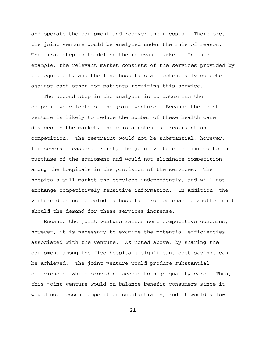and operate the equipment and recover their costs. Therefore, the joint venture would be analyzed under the rule of reason. The first step is to define the relevant market. In this example, the relevant market consists of the services provided by the equipment, and the five hospitals all potentially compete against each other for patients requiring this service.

The second step in the analysis is to determine the competitive effects of the joint venture. Because the joint venture is likely to reduce the number of these health care devices in the market, there is a potential restraint on competition. The restraint would not be substantial, however, for several reasons. First, the joint venture is limited to the purchase of the equipment and would not eliminate competition among the hospitals in the provision of the services. The hospitals will market the services independently, and will not exchange competitively sensitive information. In addition, the venture does not preclude a hospital from purchasing another unit should the demand for these services increase.

Because the joint venture raises some competitive concerns, however, it is necessary to examine the potential efficiencies associated with the venture. As noted above, by sharing the equipment among the five hospitals significant cost savings can be achieved. The joint venture would produce substantial efficiencies while providing access to high quality care. Thus, this joint venture would on balance benefit consumers since it would not lessen competition substantially, and it would allow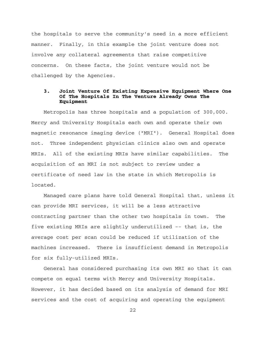the hospitals to serve the community's need in a more efficient manner. Finally, in this example the joint venture does not involve any collateral agreements that raise competitive concerns. On these facts, the joint venture would not be challenged by the Agencies.

#### **3. Joint Venture Of Existing Expensive Equipment Where One Of The Hospitals In The Venture Already Owns The Equipment**

Metropolis has three hospitals and a population of 300,000. Mercy and University Hospitals each own and operate their own magnetic resonance imaging device ("MRI"). General Hospital does not. Three independent physician clinics also own and operate MRIs. All of the existing MRIs have similar capabilities. The acquisition of an MRI is not subject to review under a certificate of need law in the state in which Metropolis is located.

Managed care plans have told General Hospital that, unless it can provide MRI services, it will be a less attractive contracting partner than the other two hospitals in town. The five existing MRIs are slightly underutilized -- that is, the average cost per scan could be reduced if utilization of the machines increased. There is insufficient demand in Metropolis for six fully-utilized MRIs.

General has considered purchasing its own MRI so that it can compete on equal terms with Mercy and University Hospitals. However, it has decided based on its analysis of demand for MRI services and the cost of acquiring and operating the equipment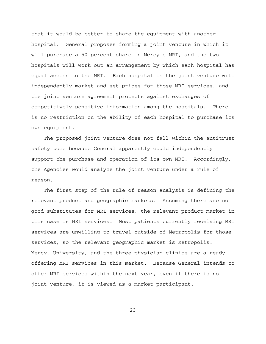that it would be better to share the equipment with another hospital. General proposes forming a joint venture in which it will purchase a 50 percent share in Mercy's MRI, and the two hospitals will work out an arrangement by which each hospital has equal access to the MRI. Each hospital in the joint venture will independently market and set prices for those MRI services, and the joint venture agreement protects against exchanges of competitively sensitive information among the hospitals. There is no restriction on the ability of each hospital to purchase its own equipment.

The proposed joint venture does not fall within the antitrust safety zone because General apparently could independently support the purchase and operation of its own MRI. Accordingly, the Agencies would analyze the joint venture under a rule of reason.

The first step of the rule of reason analysis is defining the relevant product and geographic markets. Assuming there are no good substitutes for MRI services, the relevant product market in this case is MRI services. Most patients currently receiving MRI services are unwilling to travel outside of Metropolis for those services, so the relevant geographic market is Metropolis. Mercy, University, and the three physician clinics are already offering MRI services in this market. Because General intends to offer MRI services within the next year, even if there is no joint venture, it is viewed as a market participant.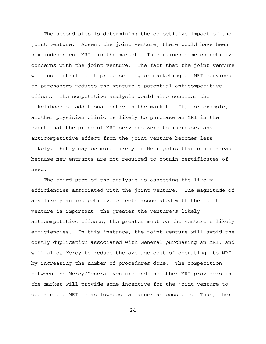The second step is determining the competitive impact of the joint venture. Absent the joint venture, there would have been six independent MRIs in the market. This raises some competitive concerns with the joint venture. The fact that the joint venture will not entail joint price setting or marketing of MRI services to purchasers reduces the venture's potential anticompetitive effect. The competitive analysis would also consider the likelihood of additional entry in the market. If, for example, another physician clinic is likely to purchase an MRI in the event that the price of MRI services were to increase, any anticompetitive effect from the joint venture becomes less likely. Entry may be more likely in Metropolis than other areas because new entrants are not required to obtain certificates of need.

The third step of the analysis is assessing the likely efficiencies associated with the joint venture. The magnitude of any likely anticompetitive effects associated with the joint venture is important; the greater the venture's likely anticompetitive effects, the greater must be the venture's likely efficiencies. In this instance, the joint venture will avoid the costly duplication associated with General purchasing an MRI, and will allow Mercy to reduce the average cost of operating its MRI by increasing the number of procedures done. The competition between the Mercy/General venture and the other MRI providers in the market will provide some incentive for the joint venture to operate the MRI in as low-cost a manner as possible. Thus, there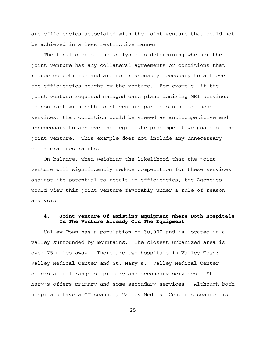are efficiencies associated with the joint venture that could not be achieved in a less restrictive manner.

The final step of the analysis is determining whether the joint venture has any collateral agreements or conditions that reduce competition and are not reasonably necessary to achieve the efficiencies sought by the venture. For example, if the joint venture required managed care plans desiring MRI services to contract with both joint venture participants for those services, that condition would be viewed as anticompetitive and unnecessary to achieve the legitimate procompetitive goals of the joint venture. This example does not include any unnecessary collateral restraints.

On balance, when weighing the likelihood that the joint venture will significantly reduce competition for these services against its potential to result in efficiencies, the Agencies would view this joint venture favorably under a rule of reason analysis.

#### **4. Joint Venture Of Existing Equipment Where Both Hospitals In The Venture Already Own The Equipment**

Valley Town has a population of 30,000 and is located in a valley surrounded by mountains. The closest urbanized area is over 75 miles away. There are two hospitals in Valley Town: Valley Medical Center and St. Mary's. Valley Medical Center offers a full range of primary and secondary services. St. Mary's offers primary and some secondary services. Although both hospitals have a CT scanner, Valley Medical Center's scanner is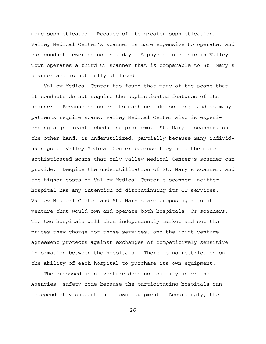more sophisticated. Because of its greater sophistication, Valley Medical Center's scanner is more expensive to operate, and can conduct fewer scans in a day. A physician clinic in Valley Town operates a third CT scanner that is comparable to St. Mary's scanner and is not fully utilized.

Valley Medical Center has found that many of the scans that it conducts do not require the sophisticated features of its scanner. Because scans on its machine take so long, and so many patients require scans, Valley Medical Center also is experiencing significant scheduling problems. St. Mary's scanner, on the other hand, is underutilized, partially because many individuals go to Valley Medical Center because they need the more sophisticated scans that only Valley Medical Center's scanner can provide. Despite the underutilization of St. Mary's scanner, and the higher costs of Valley Medical Center's scanner, neither hospital has any intention of discontinuing its CT services. Valley Medical Center and St. Mary's are proposing a joint venture that would own and operate both hospitals' CT scanners. The two hospitals will then independently market and set the prices they charge for those services, and the joint venture agreement protects against exchanges of competitively sensitive information between the hospitals. There is no restriction on the ability of each hospital to purchase its own equipment.

The proposed joint venture does not qualify under the Agencies' safety zone because the participating hospitals can independently support their own equipment. Accordingly, the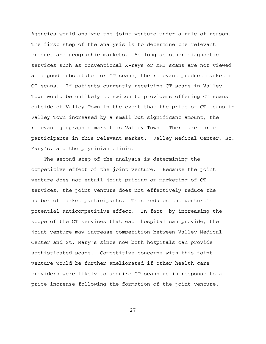Agencies would analyze the joint venture under a rule of reason. The first step of the analysis is to determine the relevant product and geographic markets. As long as other diagnostic services such as conventional X-rays or MRI scans are not viewed as a good substitute for CT scans, the relevant product market is CT scans. If patients currently receiving CT scans in Valley Town would be unlikely to switch to providers offering CT scans outside of Valley Town in the event that the price of CT scans in Valley Town increased by a small but significant amount, the relevant geographic market is Valley Town. There are three participants in this relevant market: Valley Medical Center, St. Mary's, and the physician clinic.

The second step of the analysis is determining the competitive effect of the joint venture. Because the joint venture does not entail joint pricing or marketing of CT services, the joint venture does not effectively reduce the number of market participants. This reduces the venture's potential anticompetitive effect. In fact, by increasing the scope of the CT services that each hospital can provide, the joint venture may increase competition between Valley Medical Center and St. Mary's since now both hospitals can provide sophisticated scans. Competitive concerns with this joint venture would be further ameliorated if other health care providers were likely to acquire CT scanners in response to a price increase following the formation of the joint venture.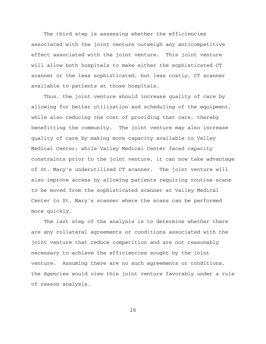The third step is assessing whether the efficiencies associated with the joint venture outweigh any anticompetitive effect associated with the joint venture. This joint venture will allow both hospitals to make either the sophisticated CT scanner or the less sophisticated, but less costly, CT scanner available to patients at those hospitals.

Thus, the joint venture should increase quality of care by allowing for better utilization and scheduling of the equipment, while also reducing the cost of providing that care, thereby benefitting the community. The joint venture may also increase quality of care by making more capacity available to Valley Medical Center; while Valley Medical Center faced capacity constraints prior to the joint venture, it can now take advantage of St. Mary's underutilized CT scanner. The joint venture will also improve access by allowing patients requiring routine scans to be moved from the sophisticated scanner at Valley Medical Center to St. Mary's scanner where the scans can be performed more quickly.

The last step of the analysis is to determine whether there are any collateral agreements or conditions associated with the joint venture that reduce competition and are not reasonably necessary to achieve the efficiencies sought by the joint venture. Assuming there are no such agreements or conditions, the Agencies would view this joint venture favorably under a rule of reason analysis.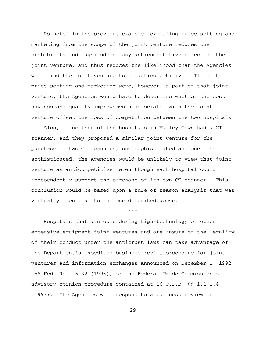As noted in the previous example, excluding price setting and marketing from the scope of the joint venture reduces the probability and magnitude of any anticompetitive effect of the joint venture, and thus reduces the likelihood that the Agencies will find the joint venture to be anticompetitive. If joint price setting and marketing were, however, a part of that joint venture, the Agencies would have to determine whether the cost savings and quality improvements associated with the joint venture offset the loss of competition between the two hospitals.

Also, if neither of the hospitals in Valley Town had a CT scanner, and they proposed a similar joint venture for the purchase of two CT scanners, one sophisticated and one less sophisticated, the Agencies would be unlikely to view that joint venture as anticompetitive, even though each hospital could independently support the purchase of its own CT scanner. This conclusion would be based upon a rule of reason analysis that was virtually identical to the one described above.

#### \*\*\*

Hospitals that are considering high-technology or other expensive equipment joint ventures and are unsure of the legality of their conduct under the antitrust laws can take advantage of the Department's expedited business review procedure for joint ventures and information exchanges announced on December 1, 1992 (58 Fed. Reg. 6132 (1993)) or the Federal Trade Commission's advisory opinion procedure contained at 16 C.F.R. §§ 1.1-1.4 (1993). The Agencies will respond to a business review or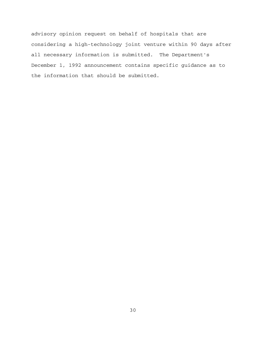advisory opinion request on behalf of hospitals that are considering a high-technology joint venture within 90 days after all necessary information is submitted. The Department's December 1, 1992 announcement contains specific guidance as to the information that should be submitted.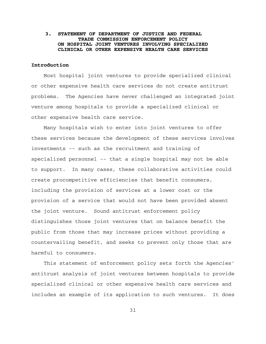#### **3. STATEMENT OF DEPARTMENT OF JUSTICE AND FEDERAL TRADE COMMISSION ENFORCEMENT POLICY ON HOSPITAL JOINT VENTURES INVOLVING SPECIALIZED CLINICAL OR OTHER EXPENSIVE HEALTH CARE SERVICES**

#### **Introduction**

Most hospital joint ventures to provide specialized clinical or other expensive health care services do not create antitrust problems. The Agencies have never challenged an integrated joint venture among hospitals to provide a specialized clinical or other expensive health care service.

Many hospitals wish to enter into joint ventures to offer these services because the development of these services involves investments -- such as the recruitment and training of specialized personnel -- that a single hospital may not be able to support. In many cases, these collaborative activities could create procompetitive efficiencies that benefit consumers, including the provision of services at a lower cost or the provision of a service that would not have been provided absent the joint venture. Sound antitrust enforcement policy distinguishes those joint ventures that on balance benefit the public from those that may increase prices without providing a countervailing benefit, and seeks to prevent only those that are harmful to consumers.

This statement of enforcement policy sets forth the Agencies' antitrust analysis of joint ventures between hospitals to provide specialized clinical or other expensive health care services and includes an example of its application to such ventures. It does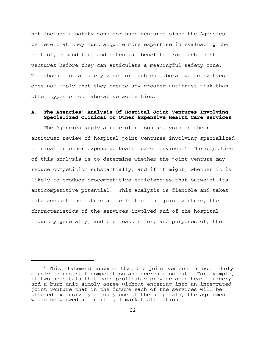not include a safety zone for such ventures since the Agencies believe that they must acquire more expertise in evaluating the cost of, demand for, and potential benefits from such joint ventures before they can articulate a meaningful safety zone. The absence of a safety zone for such collaborative activities does not imply that they create any greater antitrust risk than other types of collaborative activities.

#### **A. The Agencies' Analysis Of Hospital Joint Ventures Involving Specialized Clinical Or Other Expensive Health Care Services**

The Agencies apply a rule of reason analysis in their antitrust review of hospital joint ventures involving specialized clinical or other expensive health care services. $9$  The objective of this analysis is to determine whether the joint venture may reduce competition substantially, and if it might, whether it is likely to produce procompetitive efficiencies that outweigh its anticompetitive potential. This analysis is flexible and takes into account the nature and effect of the joint venture, the characteristics of the services involved and of the hospital industry generally, and the reasons for, and purposes of, the

 $9$  This statement assumes that the joint venture is not likely merely to restrict competition and decrease output. For example, if two hospitals that both profitably provide open heart surgery and a burn unit simply agree without entering into an integrated joint venture that in the future each of the services will be offered exclusively at only one of the hospitals, the agreement would be viewed as an illegal market allocation.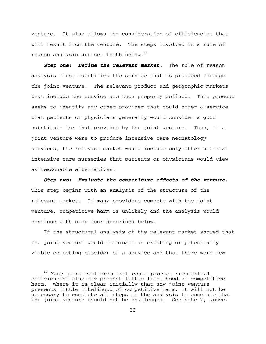venture. It also allows for consideration of efficiencies that will result from the venture. The steps involved in a rule of reason analysis are set forth below. $^{10}$ 

*Step one: Define the relevant market.* The rule of reason analysis first identifies the service that is produced through the joint venture. The relevant product and geographic markets that include the service are then properly defined. This process seeks to identify any other provider that could offer a service that patients or physicians generally would consider a good substitute for that provided by the joint venture. Thus, if a joint venture were to produce intensive care neonatology services, the relevant market would include only other neonatal intensive care nurseries that patients or physicians would view as reasonable alternatives.

*Step two: Evaluate the competitive effects of the venture.*  This step begins with an analysis of the structure of the relevant market. If many providers compete with the joint venture, competitive harm is unlikely and the analysis would continue with step four described below.

If the structural analysis of the relevant market showed that the joint venture would eliminate an existing or potentially viable competing provider of a service and that there were few

<sup>&</sup>lt;sup>10</sup> Many joint venturers that could provide substantial efficiencies also may present little likelihood of competitive harm. Where it is clear initially that any joint venture presents little likelihood of competitive harm, it will not be necessary to complete all steps in the analysis to conclude that the joint venture should not be challenged. See note 7, above.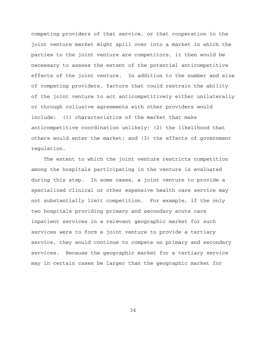competing providers of that service, or that cooperation in the joint venture market might spill over into a market in which the parties to the joint venture are competitors, it then would be necessary to assess the extent of the potential anticompetitive effects of the joint venture. In addition to the number and size of competing providers, factors that could restrain the ability of the joint venture to act anticompetitively either unilaterally or through collusive agreements with other providers would include: (1) characteristics of the market that make anticompetitive coordination unlikely; (2) the likelihood that others would enter the market; and (3) the effects of government regulation.

The extent to which the joint venture restricts competition among the hospitals participating in the venture is evaluated during this step. In some cases, a joint venture to provide a specialized clinical or other expensive health care service may not substantially limit competition. For example, if the only two hospitals providing primary and secondary acute care inpatient services in a relevant geographic market for such services were to form a joint venture to provide a tertiary service, they would continue to compete on primary and secondary services. Because the geographic market for a tertiary service may in certain cases be larger than the geographic market for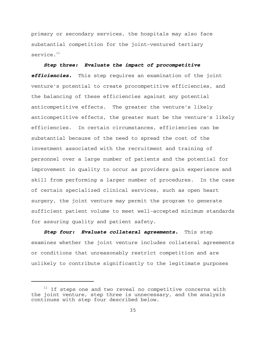primary or secondary services, the hospitals may also face substantial competition for the joint-ventured tertiary service.<sup>11</sup>

*Step three: Evaluate the impact of procompetitive efficiencies.* This step requires an examination of the joint venture's potential to create procompetitive efficiencies, and the balancing of these efficiencies against any potential anticompetitive effects. The greater the venture's likely anticompetitive effects, the greater must be the venture's likely efficiencies. In certain circumstances, efficiencies can be substantial because of the need to spread the cost of the investment associated with the recruitment and training of personnel over a large number of patients and the potential for improvement in quality to occur as providers gain experience and skill from performing a larger number of procedures. In the case of certain specialized clinical services, such as open heart surgery, the joint venture may permit the program to generate sufficient patient volume to meet well-accepted minimum standards for assuring quality and patient safety.

*Step four: Evaluate collateral agreements.* This step examines whether the joint venture includes collateral agreements or conditions that unreasonably restrict competition and are unlikely to contribute significantly to the legitimate purposes

 $11$  If steps one and two reveal no competitive concerns with the joint venture, step three is unnecessary, and the analysis continues with step four described below.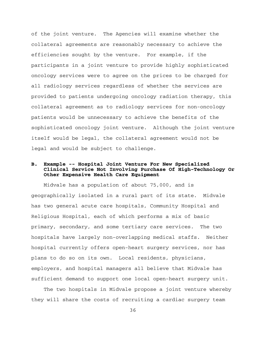of the joint venture. The Agencies will examine whether the collateral agreements are reasonably necessary to achieve the efficiencies sought by the venture. For example, if the participants in a joint venture to provide highly sophisticated oncology services were to agree on the prices to be charged for all radiology services regardless of whether the services are provided to patients undergoing oncology radiation therapy, this collateral agreement as to radiology services for non-oncology patients would be unnecessary to achieve the benefits of the sophisticated oncology joint venture. Although the joint venture itself would be legal, the collateral agreement would not be legal and would be subject to challenge.

### **B. Example -- Hospital Joint Venture For New Specialized Clinical Service Not Involving Purchase Of High-Technology Or Other Expensive Health Care Equipment**

Midvale has a population of about 75,000, and is geographically isolated in a rural part of its state. Midvale has two general acute care hospitals, Community Hospital and Religious Hospital, each of which performs a mix of basic primary, secondary, and some tertiary care services. The two hospitals have largely non-overlapping medical staffs. Neither hospital currently offers open-heart surgery services, nor has plans to do so on its own. Local residents, physicians, employers, and hospital managers all believe that Midvale has sufficient demand to support one local open-heart surgery unit.

The two hospitals in Midvale propose a joint venture whereby they will share the costs of recruiting a cardiac surgery team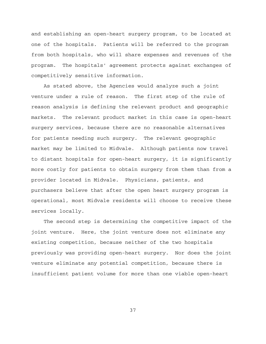and establishing an open-heart surgery program, to be located at one of the hospitals. Patients will be referred to the program from both hospitals, who will share expenses and revenues of the program. The hospitals' agreement protects against exchanges of competitively sensitive information.

As stated above, the Agencies would analyze such a joint venture under a rule of reason. The first step of the rule of reason analysis is defining the relevant product and geographic markets. The relevant product market in this case is open-heart surgery services, because there are no reasonable alternatives for patients needing such surgery. The relevant geographic market may be limited to Midvale. Although patients now travel to distant hospitals for open-heart surgery, it is significantly more costly for patients to obtain surgery from them than from a provider located in Midvale. Physicians, patients, and purchasers believe that after the open heart surgery program is operational, most Midvale residents will choose to receive these services locally.

The second step is determining the competitive impact of the joint venture. Here, the joint venture does not eliminate any existing competition, because neither of the two hospitals previously was providing open-heart surgery. Nor does the joint venture eliminate any potential competition, because there is insufficient patient volume for more than one viable open-heart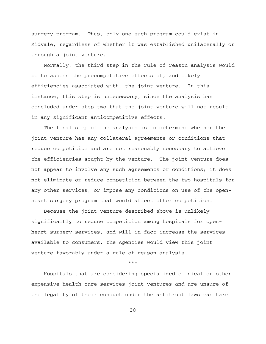surgery program. Thus, only one such program could exist in Midvale, regardless of whether it was established unilaterally or through a joint venture.

Normally, the third step in the rule of reason analysis would be to assess the procompetitive effects of, and likely efficiencies associated with, the joint venture. In this instance, this step is unnecessary, since the analysis has concluded under step two that the joint venture will not result in any significant anticompetitive effects.

The final step of the analysis is to determine whether the joint venture has any collateral agreements or conditions that reduce competition and are not reasonably necessary to achieve the efficiencies sought by the venture. The joint venture does not appear to involve any such agreements or conditions; it does not eliminate or reduce competition between the two hospitals for any other services, or impose any conditions on use of the openheart surgery program that would affect other competition.

Because the joint venture described above is unlikely significantly to reduce competition among hospitals for openheart surgery services, and will in fact increase the services available to consumers, the Agencies would view this joint venture favorably under a rule of reason analysis.

\*\*\*

Hospitals that are considering specialized clinical or other expensive health care services joint ventures and are unsure of the legality of their conduct under the antitrust laws can take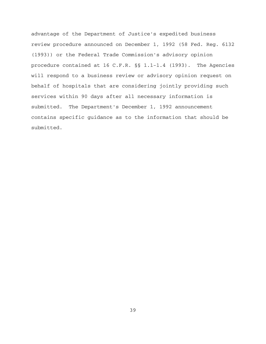advantage of the Department of Justice's expedited business review procedure announced on December 1, 1992 (58 Fed. Reg. 6132 (1993)) or the Federal Trade Commission's advisory opinion procedure contained at 16 C.F.R. §§ 1.1-1.4 (1993). The Agencies will respond to a business review or advisory opinion request on behalf of hospitals that are considering jointly providing such services within 90 days after all necessary information is submitted. The Department's December 1, 1992 announcement contains specific guidance as to the information that should be submitted.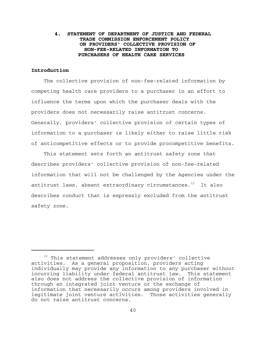### **4. STATEMENT OF DEPARTMENT OF JUSTICE AND FEDERAL TRADE COMMISSION ENFORCEMENT POLICY ON PROVIDERS' COLLECTIVE PROVISION OF NON-FEE-RELATED INFORMATION TO PURCHASERS OF HEALTH CARE SERVICES**

# **Introduction**

The collective provision of non-fee-related information by competing health care providers to a purchaser in an effort to influence the terms upon which the purchaser deals with the providers does not necessarily raise antitrust concerns. Generally, providers' collective provision of certain types of information to a purchaser is likely either to raise little risk of anticompetitive effects or to provide procompetitive benefits.

This statement sets forth an antitrust safety zone that describes providers' collective provision of non-fee-related information that will not be challenged by the Agencies under the antitrust laws, absent extraordinary circumstances. $12$  It also describes conduct that is expressly excluded from the antitrust safety zone.

<sup>&</sup>lt;sup>12</sup> This statement addresses only providers' collective activities. As a general proposition, providers acting individually may provide any information to any purchaser without incurring liability under federal antitrust law. This statement also does not address the collective provision of information through an integrated joint venture or the exchange of information that necessarily occurs among providers involved in legitimate joint venture activities. Those activities generally do not raise antitrust concerns.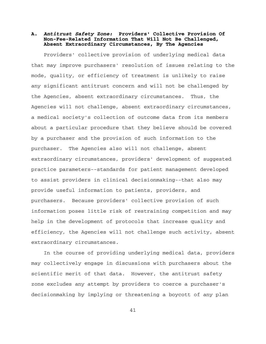# **A.** *Antitrust Safety Zone:* **Providers' Collective Provision Of Non-Fee-Related Information That Will Not Be Challenged, Absent Extraordinary Circumstances, By The Agencies**

Providers' collective provision of underlying medical data that may improve purchasers' resolution of issues relating to the mode, quality, or efficiency of treatment is unlikely to raise any significant antitrust concern and will not be challenged by the Agencies, absent extraordinary circumstances. Thus, the Agencies will not challenge, absent extraordinary circumstances, a medical society's collection of outcome data from its members about a particular procedure that they believe should be covered by a purchaser and the provision of such information to the purchaser. The Agencies also will not challenge, absent extraordinary circumstances, providers' development of suggested practice parameters--standards for patient management developed to assist providers in clinical decisionmaking--that also may provide useful information to patients, providers, and purchasers. Because providers' collective provision of such information poses little risk of restraining competition and may help in the development of protocols that increase quality and efficiency, the Agencies will not challenge such activity, absent extraordinary circumstances.

In the course of providing underlying medical data, providers may collectively engage in discussions with purchasers about the scientific merit of that data. However, the antitrust safety zone excludes any attempt by providers to coerce a purchaser's decisionmaking by implying or threatening a boycott of any plan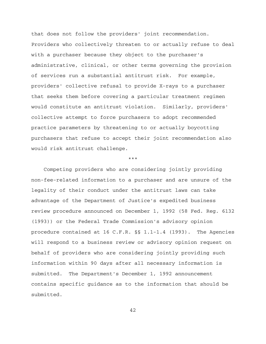that does not follow the providers' joint recommendation. Providers who collectively threaten to or actually refuse to deal with a purchaser because they object to the purchaser's administrative, clinical, or other terms governing the provision of services run a substantial antitrust risk. For example, providers' collective refusal to provide X-rays to a purchaser that seeks them before covering a particular treatment regimen would constitute an antitrust violation. Similarly, providers' collective attempt to force purchasers to adopt recommended practice parameters by threatening to or actually boycotting purchasers that refuse to accept their joint recommendation also would risk antitrust challenge.

\*\*\*

Competing providers who are considering jointly providing non-fee-related information to a purchaser and are unsure of the legality of their conduct under the antitrust laws can take advantage of the Department of Justice's expedited business review procedure announced on December 1, 1992 (58 Fed. Reg. 6132 (1993)) or the Federal Trade Commission's advisory opinion procedure contained at 16 C.F.R. §§ 1.1-1.4 (1993). The Agencies will respond to a business review or advisory opinion request on behalf of providers who are considering jointly providing such information within 90 days after all necessary information is submitted. The Department's December 1, 1992 announcement contains specific guidance as to the information that should be submitted.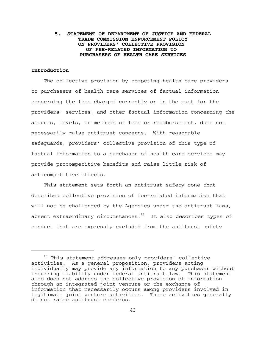# **5. STATEMENT OF DEPARTMENT OF JUSTICE AND FEDERAL TRADE COMMISSION ENFORCEMENT POLICY ON PROVIDERS' COLLECTIVE PROVISION OF FEE-RELATED INFORMATION TO PURCHASERS OF HEALTH CARE SERVICES**

# **Introduction**

The collective provision by competing health care providers to purchasers of health care services of factual information concerning the fees charged currently or in the past for the providers' services, and other factual information concerning the amounts, levels, or methods of fees or reimbursement, does not necessarily raise antitrust concerns. With reasonable safeguards, providers' collective provision of this type of factual information to a purchaser of health care services may provide procompetitive benefits and raise little risk of anticompetitive effects.

This statement sets forth an antitrust safety zone that describes collective provision of fee-related information that will not be challenged by the Agencies under the antitrust laws, absent extraordinary circumstances. $13$  It also describes types of conduct that are expressly excluded from the antitrust safety

<sup>&</sup>lt;sup>13</sup> This statement addresses only providers' collective activities. As a general proposition, providers acting individually may provide any information to any purchaser without incurring liability under federal antitrust law. This statement also does not address the collective provision of information through an integrated joint venture or the exchange of information that necessarily occurs among providers involved in legitimate joint venture activities. Those activities generally do not raise antitrust concerns.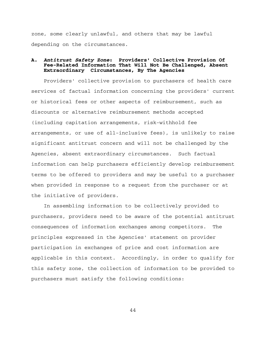zone, some clearly unlawful, and others that may be lawful depending on the circumstances.

# **A.** *Antitrust Safety Zone***: Providers' Collective Provision Of Fee-Related Information That Will Not Be Challenged, Absent Extraordinary Circumstances, By The Agencies**

Providers' collective provision to purchasers of health care services of factual information concerning the providers' current or historical fees or other aspects of reimbursement, such as discounts or alternative reimbursement methods accepted (including capitation arrangements, risk-withhold fee arrangements, or use of all-inclusive fees), is unlikely to raise significant antitrust concern and will not be challenged by the Agencies, absent extraordinary circumstances. Such factual information can help purchasers efficiently develop reimbursement terms to be offered to providers and may be useful to a purchaser when provided in response to a request from the purchaser or at the initiative of providers.

In assembling information to be collectively provided to purchasers, providers need to be aware of the potential antitrust consequences of information exchanges among competitors. The principles expressed in the Agencies' statement on provider participation in exchanges of price and cost information are applicable in this context. Accordingly, in order to qualify for this safety zone, the collection of information to be provided to purchasers must satisfy the following conditions: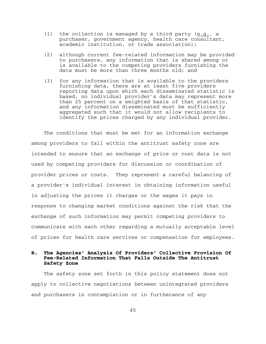- (1) the collection is managed by a third party  $(e.g.,)$  a purchaser, government agency, health care consultant, academic institution, or trade association);
- (2) although current fee-related information may be provided to purchasers, any information that is shared among or is available to the competing providers furnishing the data must be more than three months old; and
- (3) for any information that is available to the providers furnishing data, there are at least five providers reporting data upon which each disseminated statistic is based, no individual provider's data may represent more than 25 percent on a weighted basis of that statistic, and any information disseminated must be sufficiently aggregated such that it would not allow recipients to identify the prices charged by any individual provider.

The conditions that must be met for an information exchange among providers to fall within the antitrust safety zone are intended to ensure that an exchange of price or cost data is not used by competing providers for discussion or coordination of provider prices or costs. They represent a careful balancing of a provider's individual interest in obtaining information useful in adjusting the prices it charges or the wages it pays in response to changing market conditions against the risk that the exchange of such information may permit competing providers to communicate with each other regarding a mutually acceptable level of prices for health care services or compensation for employees.

# **B. The Agencies' Analysis Of Providers' Collective Provision Of Fee-Related Information That Falls Outside The Antitrust Safety Zone**

The safety zone set forth in this policy statement does not apply to collective negotiations between unintegrated providers and purchasers in contemplation or in furtherance of any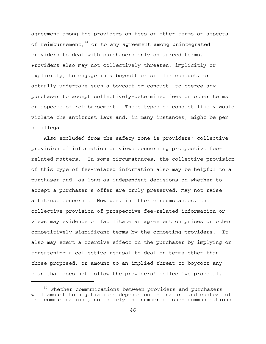agreement among the providers on fees or other terms or aspects of reimbursement, $14$  or to any agreement among unintegrated providers to deal with purchasers only on agreed terms. Providers also may not collectively threaten, implicitly or explicitly, to engage in a boycott or similar conduct, or actually undertake such a boycott or conduct, to coerce any purchaser to accept collectively-determined fees or other terms or aspects of reimbursement. These types of conduct likely would violate the antitrust laws and, in many instances, might be per se illegal.

Also excluded from the safety zone is providers' collective provision of information or views concerning prospective feerelated matters. In some circumstances, the collective provision of this type of fee-related information also may be helpful to a purchaser and, as long as independent decisions on whether to accept a purchaser's offer are truly preserved, may not raise antitrust concerns. However, in other circumstances, the collective provision of prospective fee-related information or views may evidence or facilitate an agreement on prices or other competitively significant terms by the competing providers. It also may exert a coercive effect on the purchaser by implying or threatening a collective refusal to deal on terms other than those proposed, or amount to an implied threat to boycott any plan that does not follow the providers' collective proposal.

<sup>&</sup>lt;sup>14</sup> Whether communications between providers and purchasers will amount to negotiations depends on the nature and context of the communications, not solely the number of such communications.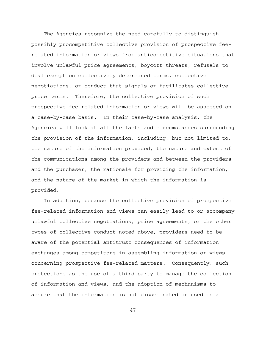The Agencies recognize the need carefully to distinguish possibly procompetitive collective provision of prospective feerelated information or views from anticompetitive situations that involve unlawful price agreements, boycott threats, refusals to deal except on collectively determined terms, collective negotiations, or conduct that signals or facilitates collective price terms. Therefore, the collective provision of such prospective fee-related information or views will be assessed on a case-by-case basis. In their case-by-case analysis, the Agencies will look at all the facts and circumstances surrounding the provision of the information, including, but not limited to, the nature of the information provided, the nature and extent of the communications among the providers and between the providers and the purchaser, the rationale for providing the information, and the nature of the market in which the information is provided.

In addition, because the collective provision of prospective fee-related information and views can easily lead to or accompany unlawful collective negotiations, price agreements, or the other types of collective conduct noted above, providers need to be aware of the potential antitrust consequences of information exchanges among competitors in assembling information or views concerning prospective fee-related matters. Consequently, such protections as the use of a third party to manage the collection of information and views, and the adoption of mechanisms to assure that the information is not disseminated or used in a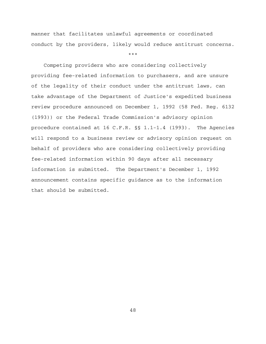manner that facilitates unlawful agreements or coordinated conduct by the providers, likely would reduce antitrust concerns.

\*\*\*

Competing providers who are considering collectively providing fee-related information to purchasers, and are unsure of the legality of their conduct under the antitrust laws, can take advantage of the Department of Justice's expedited business review procedure announced on December 1, 1992 (58 Fed. Reg. 6132 (1993)) or the Federal Trade Commission's advisory opinion procedure contained at 16 C.F.R. §§ 1.1-1.4 (1993). The Agencies will respond to a business review or advisory opinion request on behalf of providers who are considering collectively providing fee-related information within 90 days after all necessary information is submitted. The Department's December 1, 1992 announcement contains specific guidance as to the information that should be submitted.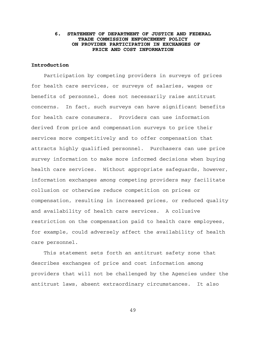#### **6. STATEMENT OF DEPARTMENT OF JUSTICE AND FEDERAL TRADE COMMISSION ENFORCEMENT POLICY ON PROVIDER PARTICIPATION IN EXCHANGES OF PRICE AND COST INFORMATION**

#### **Introduction**

Participation by competing providers in surveys of prices for health care services, or surveys of salaries, wages or benefits of personnel, does not necessarily raise antitrust concerns. In fact, such surveys can have significant benefits for health care consumers. Providers can use information derived from price and compensation surveys to price their services more competitively and to offer compensation that attracts highly qualified personnel. Purchasers can use price survey information to make more informed decisions when buying health care services. Without appropriate safeguards, however, information exchanges among competing providers may facilitate collusion or otherwise reduce competition on prices or compensation, resulting in increased prices, or reduced quality and availability of health care services. A collusive restriction on the compensation paid to health care employees, for example, could adversely affect the availability of health care personnel.

This statement sets forth an antitrust safety zone that describes exchanges of price and cost information among providers that will not be challenged by the Agencies under the antitrust laws, absent extraordinary circumstances. It also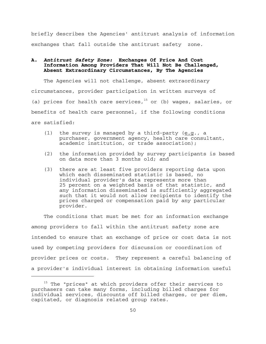briefly describes the Agencies' antitrust analysis of information exchanges that fall outside the antitrust safety zone.

# **A.** *Antitrust Safety Zone:* **Exchanges Of Price And Cost Information Among Providers That Will Not Be Challenged, Absent Extraordinary Circumstances, By The Agencies**

The Agencies will not challenge, absent extraordinary circumstances, provider participation in written surveys of (a) prices for health care services,  $15$  or (b) wages, salaries, or benefits of health care personnel, if the following conditions are satisfied:

- (1) the survey is managed by a third-party  $(e.g., a$ purchaser, government agency, health care consultant, academic institution, or trade association);
- (2) the information provided by survey participants is based on data more than 3 months old; and
- (3) there are at least five providers reporting data upon which each disseminated statistic is based, no individual provider's data represents more than 25 percent on a weighted basis of that statistic, and any information disseminated is sufficiently aggregated such that it would not allow recipients to identify the prices charged or compensation paid by any particular provider.

The conditions that must be met for an information exchange among providers to fall within the antitrust safety zone are intended to ensure that an exchange of price or cost data is not used by competing providers for discussion or coordination of provider prices or costs. They represent a careful balancing of a provider's individual interest in obtaining information useful

<sup>&</sup>lt;sup>15</sup> The "prices" at which providers offer their services to purchasers can take many forms, including billed charges for individual services, discounts off billed charges, or per diem, capitated, or diagnosis related group rates.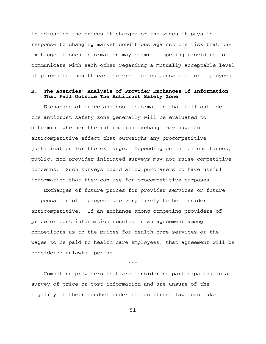in adjusting the prices it charges or the wages it pays in response to changing market conditions against the risk that the exchange of such information may permit competing providers to communicate with each other regarding a mutually acceptable level of prices for health care services or compensation for employees.

### **B. The Agencies' Analysis of Provider Exchanges Of Information That Fall Outside The Antitrust Safety Zone**

Exchanges of price and cost information that fall outside the antitrust safety zone generally will be evaluated to determine whether the information exchange may have an anticompetitive effect that outweighs any procompetitive justification for the exchange. Depending on the circumstances, public, non-provider initiated surveys may not raise competitive concerns. Such surveys could allow purchasers to have useful information that they can use for procompetitive purposes.

Exchanges of future prices for provider services or future compensation of employees are very likely to be considered anticompetitive. If an exchange among competing providers of price or cost information results in an agreement among competitors as to the prices for health care services or the wages to be paid to health care employees, that agreement will be considered unlawful per se.

\*\*\*

Competing providers that are considering participating in a survey of price or cost information and are unsure of the legality of their conduct under the antitrust laws can take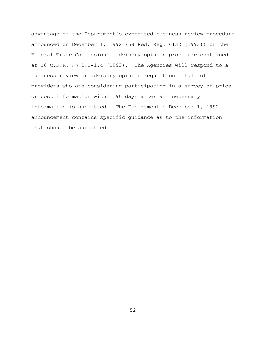advantage of the Department's expedited business review procedure announced on December 1, 1992 (58 Fed. Reg. 6132 (1993)) or the Federal Trade Commission's advisory opinion procedure contained at 16 C.F.R. §§ 1.1-1.4 (1993). The Agencies will respond to a business review or advisory opinion request on behalf of providers who are considering participating in a survey of price or cost information within 90 days after all necessary information is submitted. The Department's December 1, 1992 announcement contains specific guidance as to the information that should be submitted.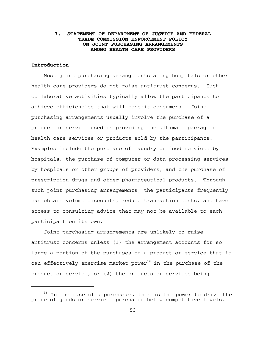# **7. STATEMENT OF DEPARTMENT OF JUSTICE AND FEDERAL TRADE COMMISSION ENFORCEMENT POLICY ON JOINT PURCHASING ARRANGEMENTS AMONG HEALTH CARE PROVIDERS**

#### **Introduction**

Most joint purchasing arrangements among hospitals or other health care providers do not raise antitrust concerns. Such collaborative activities typically allow the participants to achieve efficiencies that will benefit consumers. Joint purchasing arrangements usually involve the purchase of a product or service used in providing the ultimate package of health care services or products sold by the participants. Examples include the purchase of laundry or food services by hospitals, the purchase of computer or data processing services by hospitals or other groups of providers, and the purchase of prescription drugs and other pharmaceutical products. Through such joint purchasing arrangements, the participants frequently can obtain volume discounts, reduce transaction costs, and have access to consulting advice that may not be available to each participant on its own.

Joint purchasing arrangements are unlikely to raise antitrust concerns unless (1) the arrangement accounts for so large a portion of the purchases of a product or service that it can effectively exercise market power<sup>16</sup> in the purchase of the product or service, or (2) the products or services being

 $16$  In the case of a purchaser, this is the power to drive the price of goods or services purchased below competitive levels.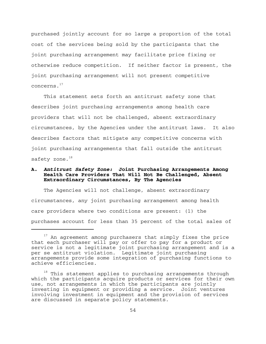concerns. $^{17}$ purchased jointly account for so large a proportion of the total cost of the services being sold by the participants that the joint purchasing arrangement may facilitate price fixing or otherwise reduce competition. If neither factor is present, the joint purchasing arrangement will not present competitive

safety zone. $^{18}$ This statement sets forth an antitrust safety zone that describes joint purchasing arrangements among health care providers that will not be challenged, absent extraordinary circumstances, by the Agencies under the antitrust laws. It also describes factors that mitigate any competitive concerns with joint purchasing arrangements that fall outside the antitrust

### **A.** *Antitrust Safety Zone:* **Joint Purchasing Arrangements Among Health Care Providers That Will Not Be Challenged, Absent Extraordinary Circumstances, By The Agencies**

The Agencies will not challenge, absent extraordinary circumstances, any joint purchasing arrangement among health care providers where two conditions are present: (1) the purchases account for less than 35 percent of the total sales of

<sup>&</sup>lt;sup>17</sup> An agreement among purchasers that simply fixes the price that each purchaser will pay or offer to pay for a product or service is not a legitimate joint purchasing arrangement and is a per se antitrust violation. Legitimate joint purchasing arrangements provide some integration of purchasing functions to achieve efficiencies.

 $18$  This statement applies to purchasing arrangements through which the participants acquire products or services for their own use, not arrangements in which the participants are jointly investing in equipment or providing a service. Joint ventures involving investment in equipment and the provision of services are discussed in separate policy statements.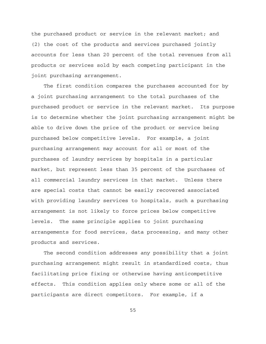the purchased product or service in the relevant market; and (2) the cost of the products and services purchased jointly accounts for less than 20 percent of the total revenues from all products or services sold by each competing participant in the joint purchasing arrangement.

The first condition compares the purchases accounted for by a joint purchasing arrangement to the total purchases of the purchased product or service in the relevant market. Its purpose is to determine whether the joint purchasing arrangement might be able to drive down the price of the product or service being purchased below competitive levels. For example, a joint purchasing arrangement may account for all or most of the purchases of laundry services by hospitals in a particular market, but represent less than 35 percent of the purchases of all commercial laundry services in that market. Unless there are special costs that cannot be easily recovered associated with providing laundry services to hospitals, such a purchasing arrangement is not likely to force prices below competitive levels. The same principle applies to joint purchasing arrangements for food services, data processing, and many other products and services.

The second condition addresses any possibility that a joint purchasing arrangement might result in standardized costs, thus facilitating price fixing or otherwise having anticompetitive effects. This condition applies only where some or all of the participants are direct competitors. For example, if a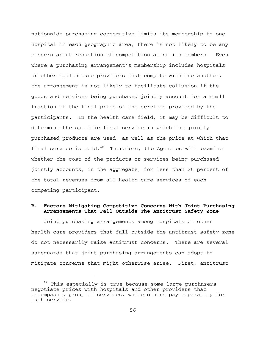nationwide purchasing cooperative limits its membership to one hospital in each geographic area, there is not likely to be any concern about reduction of competition among its members. Even where a purchasing arrangement's membership includes hospitals or other health care providers that compete with one another, the arrangement is not likely to facilitate collusion if the goods and services being purchased jointly account for a small fraction of the final price of the services provided by the participants. In the health care field, it may be difficult to determine the specific final service in which the jointly purchased products are used, as well as the price at which that final service is sold.<sup>19</sup> Therefore, the Agencies will examine whether the cost of the products or services being purchased jointly accounts, in the aggregate, for less than 20 percent of the total revenues from all health care services of each competing participant.

#### **B. Factors Mitigating Competitive Concerns With Joint Purchasing Arrangements That Fall Outside The Antitrust Safety Zone**

Joint purchasing arrangements among hospitals or other health care providers that fall outside the antitrust safety zone do not necessarily raise antitrust concerns. There are several safeguards that joint purchasing arrangements can adopt to mitigate concerns that might otherwise arise. First, antitrust

 $19$  This especially is true because some large purchasers negotiate prices with hospitals and other providers that encompass a group of services, while others pay separately for each service.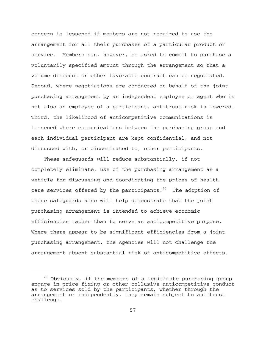concern is lessened if members are not required to use the arrangement for all their purchases of a particular product or service. Members can, however, be asked to commit to purchase a voluntarily specified amount through the arrangement so that a volume discount or other favorable contract can be negotiated. Second, where negotiations are conducted on behalf of the joint purchasing arrangement by an independent employee or agent who is not also an employee of a participant, antitrust risk is lowered. Third, the likelihood of anticompetitive communications is lessened where communications between the purchasing group and each individual participant are kept confidential, and not discussed with, or disseminated to, other participants.

These safeguards will reduce substantially, if not completely eliminate, use of the purchasing arrangement as a vehicle for discussing and coordinating the prices of health care services offered by the participants.<sup>20</sup> The adoption of these safeguards also will help demonstrate that the joint purchasing arrangement is intended to achieve economic efficiencies rather than to serve an anticompetitive purpose. Where there appear to be significant efficiencies from a joint purchasing arrangement, the Agencies will not challenge the arrangement absent substantial risk of anticompetitive effects.

 $20$  Obviously, if the members of a legitimate purchasing group engage in price fixing or other collusive anticompetitive conduct as to services sold by the participants, whether through the arrangement or independently, they remain subject to antitrust challenge.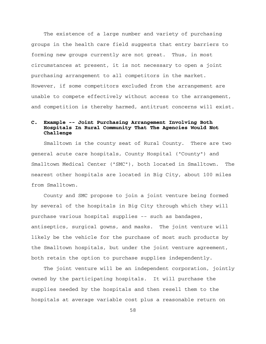The existence of a large number and variety of purchasing groups in the health care field suggests that entry barriers to forming new groups currently are not great. Thus, in most circumstances at present, it is not necessary to open a joint purchasing arrangement to all competitors in the market. However, if some competitors excluded from the arrangement are unable to compete effectively without access to the arrangement, and competition is thereby harmed, antitrust concerns will exist.

# **C. Example -- Joint Purchasing Arrangement Involving Both Hospitals In Rural Community That The Agencies Would Not Challenge**

Smalltown is the county seat of Rural County. There are two general acute care hospitals, County Hospital ("County") and Smalltown Medical Center ("SMC"), both located in Smalltown. The nearest other hospitals are located in Big City, about 100 miles from Smalltown.

County and SMC propose to join a joint venture being formed by several of the hospitals in Big City through which they will purchase various hospital supplies -- such as bandages, antiseptics, surgical gowns, and masks. The joint venture will likely be the vehicle for the purchase of most such products by the Smalltown hospitals, but under the joint venture agreement, both retain the option to purchase supplies independently.

The joint venture will be an independent corporation, jointly owned by the participating hospitals. It will purchase the supplies needed by the hospitals and then resell them to the hospitals at average variable cost plus a reasonable return on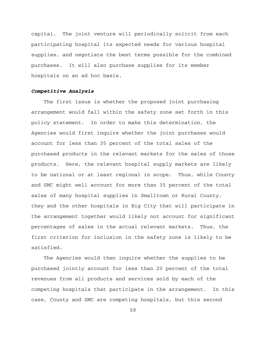capital. The joint venture will periodically solicit from each participating hospital its expected needs for various hospital supplies, and negotiate the best terms possible for the combined purchases. It will also purchase supplies for its member hospitals on an ad hoc basis.

#### *Competitive Analysis*

The first issue is whether the proposed joint purchasing arrangement would fall within the safety zone set forth in this policy statement. In order to make this determination, the Agencies would first inquire whether the joint purchases would account for less than 35 percent of the total sales of the purchased products in the relevant markets for the sales of those products. Here, the relevant hospital supply markets are likely to be national or at least regional in scope. Thus, while County and SMC might well account for more than 35 percent of the total sales of many hospital supplies in Smalltown or Rural County, they and the other hospitals in Big City that will participate in the arrangement together would likely not account for significant percentages of sales in the actual relevant markets. Thus, the first criterion for inclusion in the safety zone is likely to be satisfied.

The Agencies would then inquire whether the supplies to be purchased jointly account for less than 20 percent of the total revenues from all products and services sold by each of the competing hospitals that participate in the arrangement. In this case, County and SMC are competing hospitals, but this second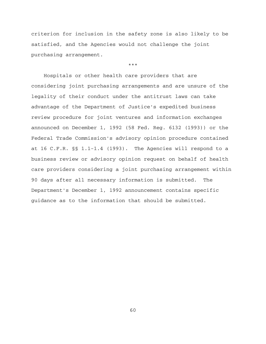criterion for inclusion in the safety zone is also likely to be satisfied, and the Agencies would not challenge the joint purchasing arrangement.

\*\*\*

Hospitals or other health care providers that are considering joint purchasing arrangements and are unsure of the legality of their conduct under the antitrust laws can take advantage of the Department of Justice's expedited business review procedure for joint ventures and information exchanges announced on December 1, 1992 (58 Fed. Reg. 6132 (1993)) or the Federal Trade Commission's advisory opinion procedure contained at 16 C.F.R. §§ 1.1-1.4 (1993). The Agencies will respond to a business review or advisory opinion request on behalf of health care providers considering a joint purchasing arrangement within 90 days after all necessary information is submitted. The Department's December 1, 1992 announcement contains specific guidance as to the information that should be submitted.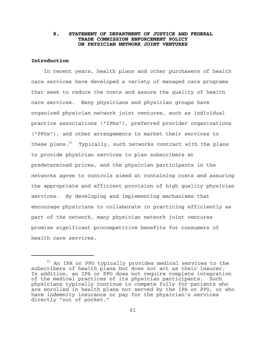#### **8. STATEMENT OF DEPARTMENT OF JUSTICE AND FEDERAL TRADE COMMISSION ENFORCEMENT POLICY ON PHYSICIAN NETWORK JOINT VENTURES**

#### **Introduction**

In recent years, health plans and other purchasers of health care services have developed a variety of managed care programs that seek to reduce the costs and assure the quality of health care services. Many physicians and physician groups have organized physician network joint ventures, such as individual practice associations ("IPAs"), preferred provider organizations ("PPOs"), and other arrangements to market their services to these plans. $^{21}$  Typically, such networks contract with the plans to provide physician services to plan subscribers at predetermined prices, and the physician participants in the networks agree to controls aimed at containing costs and assuring the appropriate and efficient provision of high quality physician services. By developing and implementing mechanisms that encourage physicians to collaborate in practicing efficiently as part of the network, many physician network joint ventures promise significant procompetitive benefits for consumers of health care services.

<sup>&</sup>lt;sup>21</sup> An IPA or PPO typically provides medical services to the subscribers of health plans but does not act as their insurer. In addition, an IPA or PPO does not require complete integration of the medical practices of its physician participants. Such physicians typically continue to compete fully for patients who are enrolled in health plans not served by the IPA or PPO, or who have indemnity insurance or pay for the physician's services directly "out of pocket."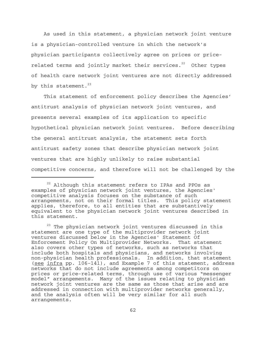As used in this statement, a physician network joint venture is a physician-controlled venture in which the network's physician participants collectively agree on prices or pricerelated terms and jointly market their services. $22$  Other types of health care network joint ventures are not directly addressed by this statement. $^{23}$ 

This statement of enforcement policy describes the Agencies' antitrust analysis of physician network joint ventures, and presents several examples of its application to specific hypothetical physician network joint ventures. Before describing the general antitrust analysis, the statement sets forth antitrust safety zones that describe physician network joint ventures that are highly unlikely to raise substantial competitive concerns, and therefore will not be challenged by the

<sup>&</sup>lt;sup>22</sup> Although this statement refers to IPAs and PPOs as examples of physician network joint ventures, the Agencies' competitive analysis focuses on the substance of such arrangements, not on their formal titles. This policy statement applies, therefore, to all entities that are substantively equivalent to the physician network joint ventures described in this statement.

<sup>&</sup>lt;sup>23</sup> The physician network joint ventures discussed in this statement are one type of the multiprovider network joint ventures discussed below in the Agencies' Statement Of Enforcement Policy On Multiprovider Networks. That statement also covers other types of networks, such as networks that include both hospitals and physicians, and networks involving non-physician health professionals. In addition, that statement (see infra pp. 106-141), and Example 7 of this statement, address networks that do not include agreements among competitors on prices or price-related terms, through use of various "messenger model" arrangements. Many of the issues relating to physician network joint ventures are the same as those that arise and are addressed in connection with multiprovider networks generally, and the analysis often will be very similar for all such arrangements.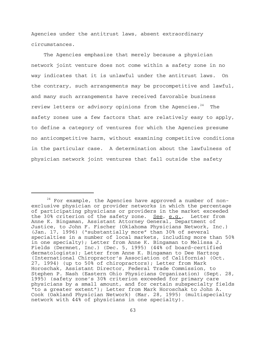Agencies under the antitrust laws, absent extraordinary circumstances.

The Agencies emphasize that merely because a physician network joint venture does not come within a safety zone in no way indicates that it is unlawful under the antitrust laws. On the contrary, such arrangements may be procompetitive and lawful, and many such arrangements have received favorable business review letters or advisory opinions from the Agencies. $24$  The safety zones use a few factors that are relatively easy to apply, to define a category of ventures for which the Agencies presume no anticompetitive harm, without examining competitive conditions in the particular case. A determination about the lawfulness of physician network joint ventures that fall outside the safety

 $24$  For example, the Agencies have approved a number of nonexclusive physician or provider networks in which the percentage of participating physicians or providers in the market exceeded the 30% criterion of the safety zone. See, e.g., Letter from Anne K. Bingaman, Assistant Attorney General, Department of Justice, to John F. Fischer (Oklahoma Physicians Network, Inc.) (Jan. 17, 1996) ("substantially more" than 30% of several specialties in a number of local markets, including more than 50% in one specialty); Letter from Anne K. Bingaman to Melissa J. Fields (Dermnet, Inc.) (Dec. 5, 1995) (44% of board-certified dermatologists); Letter from Anne K. Bingaman to Dee Hartzog (International Chiropractor's Association of California) (Oct. 27, 1994) (up to 50% of chiropractors); Letter from Mark Horoschak, Assistant Director, Federal Trade Commission, to Stephen P. Nash (Eastern Ohio Physicians Organization) (Sept. 28, 1995) (safety zone's 30% criterion exceeded for primary care physicians by a small amount, and for certain subspecialty fields "to a greater extent"); Letter from Mark Horoschak to John A. Cook (Oakland Physician Network) (Mar. 28, 1995) (multispecialty network with 44% of physicians in one specialty).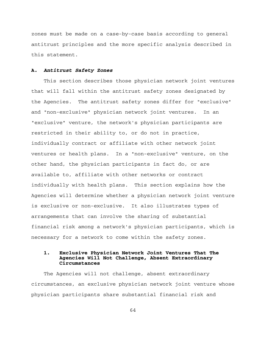zones must be made on a case-by-case basis according to general antitrust principles and the more specific analysis described in this statement.

#### **A.** *Antitrust Safety Zones*

This section describes those physician network joint ventures that will fall within the antitrust safety zones designated by the Agencies. The antitrust safety zones differ for "exclusive" and "non-exclusive" physician network joint ventures. In an "exclusive" venture, the network's physician participants are restricted in their ability to, or do not in practice, individually contract or affiliate with other network joint ventures or health plans. In a "non-exclusive" venture, on the other hand, the physician participants in fact do, or are available to, affiliate with other networks or contract individually with health plans. This section explains how the Agencies will determine whether a physician network joint venture is exclusive or non-exclusive. It also illustrates types of arrangements that can involve the sharing of substantial financial risk among a network's physician participants, which is necessary for a network to come within the safety zones.

#### **1. Exclusive Physician Network Joint Ventures That The Agencies Will Not Challenge, Absent Extraordinary Circumstances**

The Agencies will not challenge, absent extraordinary circumstances, an exclusive physician network joint venture whose physician participants share substantial financial risk and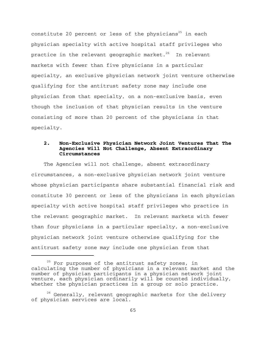constitute 20 percent or less of the physicians<sup>25</sup> in each physician specialty with active hospital staff privileges who practice in the relevant geographic market.<sup>26</sup> In relevant markets with fewer than five physicians in a particular specialty, an exclusive physician network joint venture otherwise qualifying for the antitrust safety zone may include one physician from that specialty, on a non-exclusive basis, even though the inclusion of that physician results in the venture consisting of more than 20 percent of the physicians in that specialty.

#### **2. Non-Exclusive Physician Network Joint Ventures That The Agencies Will Not Challenge, Absent Extraordinary Circumstances**

The Agencies will not challenge, absent extraordinary circumstances, a non-exclusive physician network joint venture whose physician participants share substantial financial risk and constitute 30 percent or less of the physicians in each physician specialty with active hospital staff privileges who practice in the relevant geographic market. In relevant markets with fewer than four physicians in a particular specialty, a non-exclusive physician network joint venture otherwise qualifying for the antitrust safety zone may include one physician from that

 $25$  For purposes of the antitrust safety zones, in calculating the number of physicians in a relevant market and the number of physician participants in a physician network joint venture, each physician ordinarily will be counted individually, whether the physician practices in a group or solo practice.

<sup>&</sup>lt;sup>26</sup> Generally, relevant geographic markets for the delivery of physician services are local.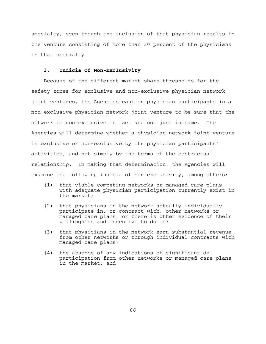specialty, even though the inclusion of that physician results in the venture consisting of more than 30 percent of the physicians in that specialty.

# **3. Indicia Of Non-Exclusivity**

Because of the different market share thresholds for the safety zones for exclusive and non-exclusive physician network joint ventures, the Agencies caution physician participants in a non-exclusive physician network joint venture to be sure that the network is non-exclusive in fact and not just in name. The Agencies will determine whether a physician network joint venture is exclusive or non-exclusive by its physician participants' activities, and not simply by the terms of the contractual relationship. In making that determination, the Agencies will examine the following indicia of non-exclusivity, among others:

- (1) that viable competing networks or managed care plans with adequate physician participation currently exist in the market;
- (2) that physicians in the network actually individually participate in, or contract with, other networks or managed care plans, or there is other evidence of their willingness and incentive to do so;
- (3) that physicians in the network earn substantial revenue from other networks or through individual contracts with managed care plans;
- (4) the absence of any indications of significant departicipation from other networks or managed care plans in the market; and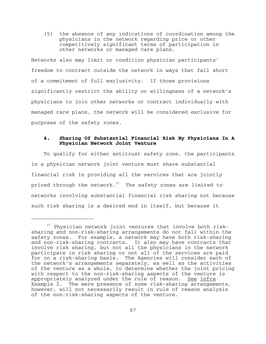(5) the absence of any indications of coordination among the physicians in the network regarding price or other competitively significant terms of participation in other networks or managed care plans.

Networks also may limit or condition physician participants' freedom to contract outside the network in ways that fall short of a commitment of full exclusivity. If those provisions significantly restrict the ability or willingness of a network's physicians to join other networks or contract individually with managed care plans, the network will be considered exclusive for purposes of the safety zones.

#### **4. Sharing Of Substantial Financial Risk By Physicians In A Physician Network Joint Venture**

To qualify for either antitrust safety zone, the participants in a physician network joint venture must share substantial financial risk in providing all the services that are jointly priced through the network. $27$  The safety zones are limited to networks involving substantial financial risk sharing not because such risk sharing is a desired end in itself, but because it

 $27$  Physician network joint ventures that involve both risksharing and non-risk-sharing arrangements do not fall within the safety zones. For example, a network may have both risk-sharing and non-risk-sharing contracts. It also may have contracts that involve risk sharing, but not all the physicians in the network participate in risk sharing or not all of the services are paid for on a risk-sharing basis. The Agencies will consider each of the network's arrangements separately, as well as the activities of the venture as a whole, to determine whether the joint pricing with respect to the non-risk-sharing aspects of the venture is appropriately analyzed under the rule of reason. See infra Example 2. The mere presence of some risk-sharing arrangements, however, will not necessarily result in rule of reason analysis of the non-risk-sharing aspects of the venture.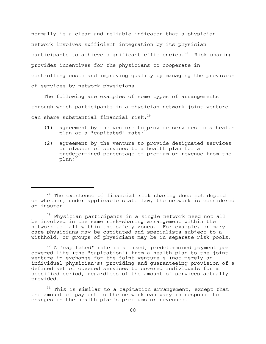normally is a clear and reliable indicator that a physician network involves sufficient integration by its physician participants to achieve significant efficiencies. $^{28}$  Risk sharing provides incentives for the physicians to cooperate in controlling costs and improving quality by managing the provision of services by network physicians.

The following are examples of some types of arrangements through which participants in a physician network joint venture can share substantial financial risk: $^{29}$ 

- (1) agreement by the venture to provide services to a health plan at a "capitated" rate; $^{30}$
- (2) agreement by the venture to provide designated services or classes of services to a health plan for a predetermined percentage of premium or revenue from the  $plane;$ <sup>31</sup>

<sup>29</sup> Physician participants in a single network need not all be involved in the same risk-sharing arrangement within the network to fall within the safety zones. For example, primary care physicians may be capitated and specialists subject to a withhold, or groups of physicians may be in separate risk pools.

<sup>30</sup> A "capitated" rate is a fixed, predetermined payment per covered life (the "capitation") from a health plan to the joint venture in exchange for the joint venture's (not merely an individual physician's) providing and guaranteeing provision of a defined set of covered services to covered individuals for a specified period, regardless of the amount of services actually provided.

 $31$  This is similar to a capitation arrangement, except that the amount of payment to the network can vary in response to changes in the health plan's premiums or revenues.

<sup>&</sup>lt;sup>28</sup> The existence of financial risk sharing does not depend on whether, under applicable state law, the network is considered an insurer.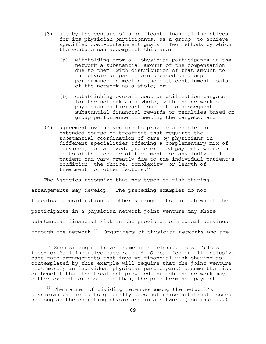- (3) use by the venture of significant financial incentives for its physician participants, as a group, to achieve specified cost-containment goals. Two methods by which the venture can accomplish this are:
	- (a) withholding from all physician participants in the network a substantial amount of the compensation due to them, with distribution of that amount to the physician participants based on group performance in meeting the cost-containment goals of the network as a whole; or
	- (b) establishing overall cost or utilization targets for the network as a whole, with the network's physician participants subject to subsequent substantial financial rewards or penalties based on group performance in meeting the targets; and
- (4) agreement by the venture to provide a complex or extended course of treatment that requires the substantial coordination of care by physicians in different specialities offering a complementary mix of services, for a fixed, predetermined payment, where the costs of that course of treatment for any individual patient can vary greatly due to the individual patient's condition, the choice, complexity, or length of treatment, or other factors. $32$

The Agencies recognize that new types of risk-sharing arrangements may develop. The preceding examples do not foreclose consideration of other arrangements through which the participants in a physician network joint venture may share substantial financial risk in the provision of medical services through the network. $33$  Organizers of physician networks who are

<sup>&</sup>lt;sup>32</sup> Such arrangements are sometimes referred to as "global fees" or "all-inclusive case rates." Global fee or all-inclusive case rate arrangements that involve financial risk sharing as contemplated by this example will require that the joint venture (not merely an individual physician participant) assume the risk or benefit that the treatment provided through the network may either exceed, or cost less than, the predetermined payment.

<sup>&</sup>lt;sup>33</sup> The manner of dividing revenues among the network's physician participants generally does not raise antitrust issues so long as the competing physicians in a network (continued...)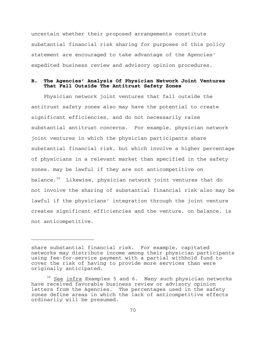uncertain whether their proposed arrangements constitute substantial financial risk sharing for purposes of this policy statement are encouraged to take advantage of the Agencies' expedited business review and advisory opinion procedures.

# **B. The Agencies' Analysis Of Physician Network Joint Ventures That Fall Outside The Antitrust Safety Zones**

Physician network joint ventures that fall outside the antitrust safety zones also may have the potential to create significant efficiencies, and do not necessarily raise substantial antitrust concerns. For example, physician network joint ventures in which the physician participants share substantial financial risk, but which involve a higher percentage of physicians in a relevant market than specified in the safety zones, may be lawful if they are not anticompetitive on balance. $34$  Likewise, physician network joint ventures that do not involve the sharing of substantial financial risk also may be lawful if the physicians' integration through the joint venture creates significant efficiencies and the venture, on balance, is not anticompetitive.

share substantial financial risk. For example, capitated networks may distribute income among their physician participants using fee-for-service payment with a partial withhold fund to cover the risk of having to provide more services than were originally anticipated.

<sup>&</sup>lt;sup>34</sup> See infra Examples 5 and 6. Many such physician networks have received favorable business review or advisory opinion letters from the Agencies. The percentages used in the safety zones define areas in which the lack of anticompetitive effects ordinarily will be presumed.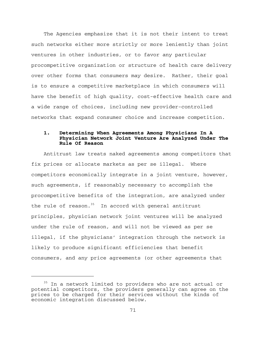The Agencies emphasize that it is not their intent to treat such networks either more strictly or more leniently than joint ventures in other industries, or to favor any particular procompetitive organization or structure of health care delivery over other forms that consumers may desire. Rather, their goal is to ensure a competitive marketplace in which consumers will have the benefit of high quality, cost-effective health care and a wide range of choices, including new provider-controlled networks that expand consumer choice and increase competition.

# **1. Determining When Agreements Among Physicians In A Physician Network Joint Venture Are Analyzed Under The Rule Of Reason**

Antitrust law treats naked agreements among competitors that fix prices or allocate markets as per se illegal. Where competitors economically integrate in a joint venture, however, such agreements, if reasonably necessary to accomplish the procompetitive benefits of the integration, are analyzed under the rule of reason. $35$  In accord with general antitrust principles, physician network joint ventures will be analyzed under the rule of reason, and will not be viewed as per se illegal, if the physicians' integration through the network is likely to produce significant efficiencies that benefit consumers, and any price agreements (or other agreements that

<sup>&</sup>lt;sup>35</sup> In a network limited to providers who are not actual or potential competitors, the providers generally can agree on the prices to be charged for their services without the kinds of economic integration discussed below.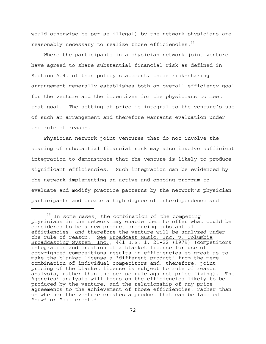would otherwise be per se illegal) by the network physicians are reasonably necessary to realize those efficiencies.<sup>36</sup>

Where the participants in a physician network joint venture have agreed to share substantial financial risk as defined in Section A.4. of this policy statement, their risk-sharing arrangement generally establishes both an overall efficiency goal for the venture and the incentives for the physicians to meet that goal. The setting of price is integral to the venture's use of such an arrangement and therefore warrants evaluation under the rule of reason.

Physician network joint ventures that do not involve the sharing of substantial financial risk may also involve sufficient integration to demonstrate that the venture is likely to produce significant efficiencies. Such integration can be evidenced by the network implementing an active and ongoing program to evaluate and modify practice patterns by the network's physician participants and create a high degree of interdependence and

 $36$  In some cases, the combination of the competing physicians in the network may enable them to offer what could be considered to be a new product producing substantial efficiencies, and therefore the venture will be analyzed under the rule of reason. See Broadcast Music, Inc. v. Columbia Broadcasting System, Inc., 441 U.S. 1, 21-22 (1979) (competitors' integration and creation of a blanket license for use of copyrighted compositions results in efficiencies so great as to make the blanket license a "different product" from the mere combination of individual competitors and, therefore, joint pricing of the blanket license is subject to rule of reason analysis, rather than the per se rule against price fixing). The Agencies' analysis will focus on the efficiencies likely to be produced by the venture, and the relationship of any price agreements to the achievement of those efficiencies, rather than on whether the venture creates a product that can be labeled "new" or "different."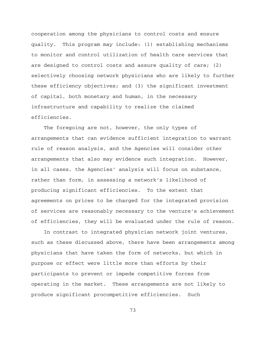cooperation among the physicians to control costs and ensure quality. This program may include: (1) establishing mechanisms to monitor and control utilization of health care services that are designed to control costs and assure quality of care; (2) selectively choosing network physicians who are likely to further these efficiency objectives; and (3) the significant investment of capital, both monetary and human, in the necessary infrastructure and capability to realize the claimed efficiencies.

The foregoing are not, however, the only types of arrangements that can evidence sufficient integration to warrant rule of reason analysis, and the Agencies will consider other arrangements that also may evidence such integration. However, in all cases, the Agencies' analysis will focus on substance, rather than form, in assessing a network's likelihood of producing significant efficiencies. To the extent that agreements on prices to be charged for the integrated provision of services are reasonably necessary to the venture's achievement of efficiencies, they will be evaluated under the rule of reason.

In contrast to integrated physician network joint ventures, such as these discussed above, there have been arrangements among physicians that have taken the form of networks, but which in purpose or effect were little more than efforts by their participants to prevent or impede competitive forces from operating in the market. These arrangements are not likely to produce significant procompetitive efficiencies. Such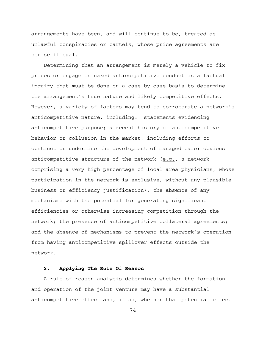arrangements have been, and will continue to be, treated as unlawful conspiracies or cartels, whose price agreements are per se illegal.

Determining that an arrangement is merely a vehicle to fix prices or engage in naked anticompetitive conduct is a factual inquiry that must be done on a case-by-case basis to determine the arrangement's true nature and likely competitive effects. However, a variety of factors may tend to corroborate a network's anticompetitive nature, including: statements evidencing anticompetitive purpose; a recent history of anticompetitive behavior or collusion in the market, including efforts to obstruct or undermine the development of managed care; obvious anticompetitive structure of the network (e.g., a network comprising a very high percentage of local area physicians, whose participation in the network is exclusive, without any plausible business or efficiency justification); the absence of any mechanisms with the potential for generating significant efficiencies or otherwise increasing competition through the network; the presence of anticompetitive collateral agreements; and the absence of mechanisms to prevent the network's operation from having anticompetitive spillover effects outside the network.

# **2. Applying The Rule Of Reason**

A rule of reason analysis determines whether the formation and operation of the joint venture may have a substantial anticompetitive effect and, if so, whether that potential effect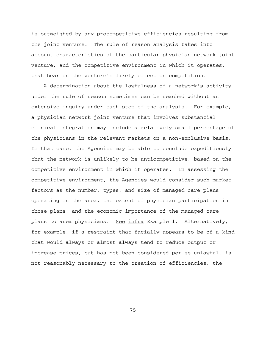is outweighed by any procompetitive efficiencies resulting from the joint venture. The rule of reason analysis takes into account characteristics of the particular physician network joint venture, and the competitive environment in which it operates, that bear on the venture's likely effect on competition.

A determination about the lawfulness of a network's activity under the rule of reason sometimes can be reached without an extensive inquiry under each step of the analysis. For example, a physician network joint venture that involves substantial clinical integration may include a relatively small percentage of the physicians in the relevant markets on a non-exclusive basis. In that case, the Agencies may be able to conclude expeditiously that the network is unlikely to be anticompetitive, based on the competitive environment in which it operates. In assessing the competitive environment, the Agencies would consider such market factors as the number, types, and size of managed care plans operating in the area, the extent of physician participation in those plans, and the economic importance of the managed care plans to area physicians. See infra Example 1. Alternatively, for example, if a restraint that facially appears to be of a kind that would always or almost always tend to reduce output or increase prices, but has not been considered per se unlawful, is not reasonably necessary to the creation of efficiencies, the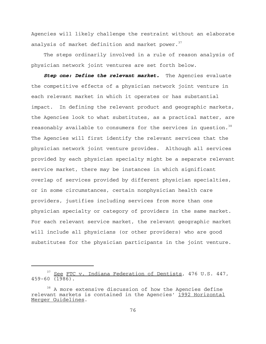analysis of market definition and market power. $^{37}$ Agencies will likely challenge the restraint without an elaborate

The steps ordinarily involved in a rule of reason analysis of physician network joint ventures are set forth below.

*Step one: Define the relevant market.* The Agencies evaluate the competitive effects of a physician network joint venture in each relevant market in which it operates or has substantial impact. In defining the relevant product and geographic markets, the Agencies look to what substitutes, as a practical matter, are reasonably available to consumers for the services in question.<sup>38</sup> The Agencies will first identify the relevant services that the physician network joint venture provides. Although all services provided by each physician specialty might be a separate relevant service market, there may be instances in which significant overlap of services provided by different physician specialties, or in some circumstances, certain nonphysician health care providers, justifies including services from more than one physician specialty or category of providers in the same market. For each relevant service market, the relevant geographic market will include all physicians (or other providers) who are good substitutes for the physician participants in the joint venture.

 $37$  See FTC v. Indiana Federation of Dentists, 476 U.S. 447, 459-60 (1986).

<sup>&</sup>lt;sup>38</sup> A more extensive discussion of how the Agencies define relevant markets is contained in the Agencies' 1992 Horizontal Merger Guidelines.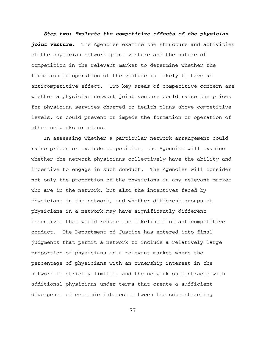*Step two: Evaluate the competitive effects of the physician joint venture.* The Agencies examine the structure and activities of the physician network joint venture and the nature of competition in the relevant market to determine whether the formation or operation of the venture is likely to have an anticompetitive effect. Two key areas of competitive concern are whether a physician network joint venture could raise the prices for physician services charged to health plans above competitive levels, or could prevent or impede the formation or operation of other networks or plans.

In assessing whether a particular network arrangement could raise prices or exclude competition, the Agencies will examine whether the network physicians collectively have the ability and incentive to engage in such conduct. The Agencies will consider not only the proportion of the physicians in any relevant market who are in the network, but also the incentives faced by physicians in the network, and whether different groups of physicians in a network may have significantly different incentives that would reduce the likelihood of anticompetitive conduct. The Department of Justice has entered into final judgments that permit a network to include a relatively large proportion of physicians in a relevant market where the percentage of physicians with an ownership interest in the network is strictly limited, and the network subcontracts with additional physicians under terms that create a sufficient divergence of economic interest between the subcontracting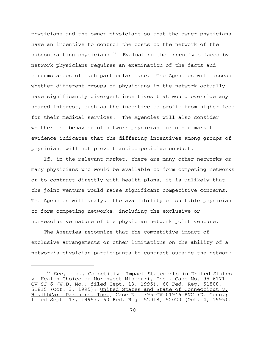physicians and the owner physicians so that the owner physicians have an incentive to control the costs to the network of the subcontracting physicians. $39$  Evaluating the incentives faced by network physicians requires an examination of the facts and circumstances of each particular case. The Agencies will assess whether different groups of physicians in the network actually have significantly divergent incentives that would override any shared interest, such as the incentive to profit from higher fees for their medical services. The Agencies will also consider whether the behavior of network physicians or other market evidence indicates that the differing incentives among groups of physicians will not prevent anticompetitive conduct.

If, in the relevant market, there are many other networks or many physicians who would be available to form competing networks or to contract directly with health plans, it is unlikely that the joint venture would raise significant competitive concerns. The Agencies will analyze the availability of suitable physicians to form competing networks, including the exclusive or non-exclusive nature of the physician network joint venture.

The Agencies recognize that the competitive impact of exclusive arrangements or other limitations on the ability of a network's physician participants to contract outside the network

<sup>&</sup>lt;sup>39</sup> See, e.g., Competitive Impact Statements in United States Health Choice of Northwest Missouri, Inc., Case No. 95-6171-CV-SJ-6 (W.D. Mo.; filed Sept. 13, 1995), 60 Fed. Reg. 51808, 51815 (Oct. 3, 1995); United States and State of Connecticut v. HealthCare Partners, Inc., Case No. 395-CV-01946-RNC (D. Conn.; filed Sept. 13, 1995), 60 Fed. Reg. 52018, 52020 (Oct. 4, 1995).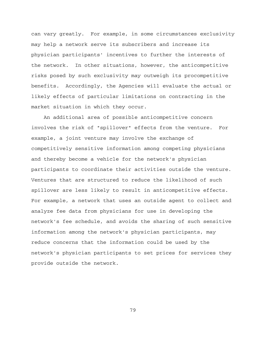can vary greatly. For example, in some circumstances exclusivity may help a network serve its subscribers and increase its physician participants' incentives to further the interests of the network. In other situations, however, the anticompetitive risks posed by such exclusivity may outweigh its procompetitive benefits. Accordingly, the Agencies will evaluate the actual or likely effects of particular limitations on contracting in the market situation in which they occur.

An additional area of possible anticompetitive concern involves the risk of "spillover" effects from the venture. For example, a joint venture may involve the exchange of competitively sensitive information among competing physicians and thereby become a vehicle for the network's physician participants to coordinate their activities outside the venture. Ventures that are structured to reduce the likelihood of such spillover are less likely to result in anticompetitive effects. For example, a network that uses an outside agent to collect and analyze fee data from physicians for use in developing the network's fee schedule, and avoids the sharing of such sensitive information among the network's physician participants, may reduce concerns that the information could be used by the network's physician participants to set prices for services they provide outside the network.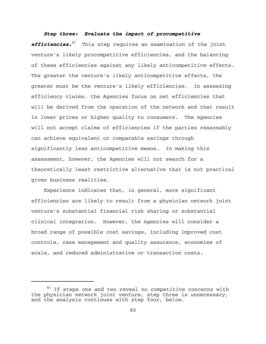# *Step three: Evaluate the impact of procompetitive efficiencies.*40 This step requires an examination of the joint venture's likely procompetitive efficiencies, and the balancing of these efficiencies against any likely anticompetitive effects. The greater the venture's likely anticompetitive effects, the greater must be the venture's likely efficiencies. In assessing efficiency claims, the Agencies focus on net efficiencies that will be derived from the operation of the network and that result in lower prices or higher quality to consumers. The Agencies will not accept claims of efficiencies if the parties reasonably can achieve equivalent or comparable savings through significantly less anticompetitive means. In making this assessment, however, the Agencies will not search for a theoretically least restrictive alternative that is not practical given business realities.

Experience indicates that, in general, more significant efficiencies are likely to result from a physician network joint venture's substantial financial risk sharing or substantial clinical integration. However, the Agencies will consider a broad range of possible cost savings, including improved cost controls, case management and quality assurance, economies of scale, and reduced administrative or transaction costs.

 $40$  If steps one and two reveal no competitive concerns with the physician network joint venture, step three is unnecessary, and the analysis continues with step four, below.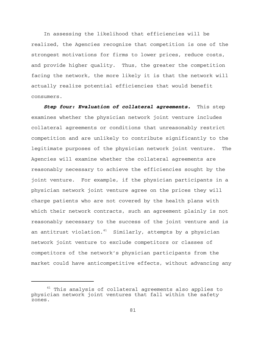In assessing the likelihood that efficiencies will be realized, the Agencies recognize that competition is one of the strongest motivations for firms to lower prices, reduce costs, and provide higher quality. Thus, the greater the competition facing the network, the more likely it is that the network will actually realize potential efficiencies that would benefit consumers.

*Step four: Evaluation of collateral agreements.* This step examines whether the physician network joint venture includes collateral agreements or conditions that unreasonably restrict competition and are unlikely to contribute significantly to the legitimate purposes of the physician network joint venture. The Agencies will examine whether the collateral agreements are reasonably necessary to achieve the efficiencies sought by the joint venture. For example, if the physician participants in a physician network joint venture agree on the prices they will charge patients who are not covered by the health plans with which their network contracts, such an agreement plainly is not reasonably necessary to the success of the joint venture and is an antitrust violation.<sup>41</sup> Similarly, attempts by a physician network joint venture to exclude competitors or classes of competitors of the network's physician participants from the market could have anticompetitive effects, without advancing any

<sup>&</sup>lt;sup>41</sup> This analysis of collateral agreements also applies to physician network joint ventures that fall within the safety zones.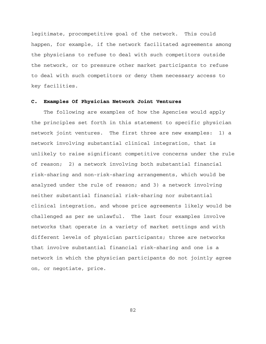legitimate, procompetitive goal of the network. This could happen, for example, if the network facilitated agreements among the physicians to refuse to deal with such competitors outside the network, or to pressure other market participants to refuse to deal with such competitors or deny them necessary access to key facilities.

## **C. Examples Of Physician Network Joint Ventures**

The following are examples of how the Agencies would apply the principles set forth in this statement to specific physician network joint ventures. The first three are new examples: 1) a network involving substantial clinical integration, that is unlikely to raise significant competitive concerns under the rule of reason; 2) a network involving both substantial financial risk-sharing and non-risk-sharing arrangements, which would be analyzed under the rule of reason; and 3) a network involving neither substantial financial risk-sharing nor substantial clinical integration, and whose price agreements likely would be challenged as per se unlawful. The last four examples involve networks that operate in a variety of market settings and with different levels of physician participants; three are networks that involve substantial financial risk-sharing and one is a network in which the physician participants do not jointly agree on, or negotiate, price.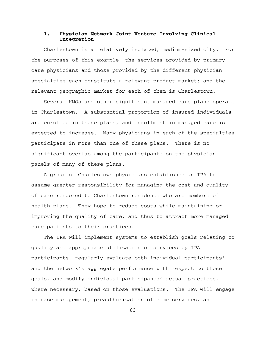# **1. Physician Network Joint Venture Involving Clinical Integration**

Charlestown is a relatively isolated, medium-sized city. For the purposes of this example, the services provided by primary care physicians and those provided by the different physician specialties each constitute a relevant product market; and the relevant geographic market for each of them is Charlestown.

Several HMOs and other significant managed care plans operate in Charlestown. A substantial proportion of insured individuals are enrolled in these plans, and enrollment in managed care is expected to increase. Many physicians in each of the specialties participate in more than one of these plans. There is no significant overlap among the participants on the physician panels of many of these plans.

A group of Charlestown physicians establishes an IPA to assume greater responsibility for managing the cost and quality of care rendered to Charlestown residents who are members of health plans. They hope to reduce costs while maintaining or improving the quality of care, and thus to attract more managed care patients to their practices.

The IPA will implement systems to establish goals relating to quality and appropriate utilization of services by IPA participants, regularly evaluate both individual participants' and the network's aggregate performance with respect to those goals, and modify individual participants' actual practices, where necessary, based on those evaluations. The IPA will engage in case management, preauthorization of some services, and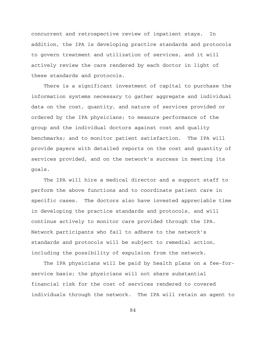concurrent and retrospective review of inpatient stays. In addition, the IPA is developing practice standards and protocols to govern treatment and utilization of services, and it will actively review the care rendered by each doctor in light of these standards and protocols.

There is a significant investment of capital to purchase the information systems necessary to gather aggregate and individual data on the cost, quantity, and nature of services provided or ordered by the IPA physicians; to measure performance of the group and the individual doctors against cost and quality benchmarks; and to monitor patient satisfaction. The IPA will provide payers with detailed reports on the cost and quantity of services provided, and on the network's success in meeting its goals.

The IPA will hire a medical director and a support staff to perform the above functions and to coordinate patient care in specific cases. The doctors also have invested appreciable time in developing the practice standards and protocols, and will continue actively to monitor care provided through the IPA. Network participants who fail to adhere to the network's standards and protocols will be subject to remedial action, including the possibility of expulsion from the network.

The IPA physicians will be paid by health plans on a fee-forservice basis; the physicians will not share substantial financial risk for the cost of services rendered to covered individuals through the network. The IPA will retain an agent to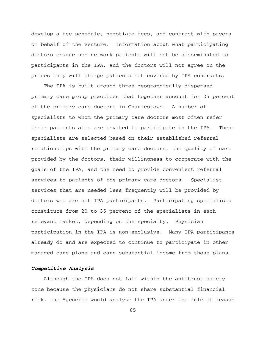develop a fee schedule, negotiate fees, and contract with payers on behalf of the venture. Information about what participating doctors charge non-network patients will not be disseminated to participants in the IPA, and the doctors will not agree on the prices they will charge patients not covered by IPA contracts.

The IPA is built around three geographically dispersed primary care group practices that together account for 25 percent of the primary care doctors in Charlestown. A number of specialists to whom the primary care doctors most often refer their patients also are invited to participate in the IPA. These specialists are selected based on their established referral relationships with the primary care doctors, the quality of care provided by the doctors, their willingness to cooperate with the goals of the IPA, and the need to provide convenient referral services to patients of the primary care doctors. Specialist services that are needed less frequently will be provided by doctors who are not IPA participants. Participating specialists constitute from 20 to 35 percent of the specialists in each relevant market, depending on the specialty. Physician participation in the IPA is non-exclusive. Many IPA participants already do and are expected to continue to participate in other managed care plans and earn substantial income from those plans.

## *Competitive Analysis*

Although the IPA does not fall within the antitrust safety zone because the physicians do not share substantial financial risk, the Agencies would analyze the IPA under the rule of reason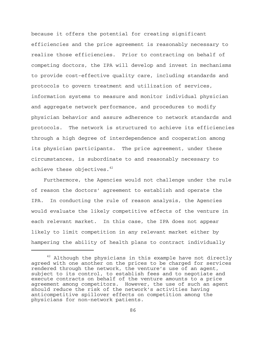because it offers the potential for creating significant efficiencies and the price agreement is reasonably necessary to realize those efficiencies. Prior to contracting on behalf of competing doctors, the IPA will develop and invest in mechanisms to provide cost-effective quality care, including standards and protocols to govern treatment and utilization of services, information systems to measure and monitor individual physician and aggregate network performance, and procedures to modify physician behavior and assure adherence to network standards and protocols. The network is structured to achieve its efficiencies through a high degree of interdependence and cooperation among its physician participants. The price agreement, under these circumstances, is subordinate to and reasonably necessary to achieve these objectives. $42$ 

Furthermore, the Agencies would not challenge under the rule of reason the doctors' agreement to establish and operate the IPA. In conducting the rule of reason analysis, the Agencies would evaluate the likely competitive effects of the venture in each relevant market. In this case, the IPA does not appear likely to limit competition in any relevant market either by hampering the ability of health plans to contract individually

 $42$  Although the physicians in this example have not directly agreed with one another on the prices to be charged for services rendered through the network, the venture's use of an agent, subject to its control, to establish fees and to negotiate and execute contracts on behalf of the venture amounts to a price agreement among competitors. However, the use of such an agent should reduce the risk of the network's activities having anticompetitive spillover effects on competition among the physicians for non-network patients.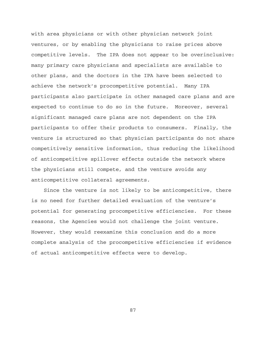with area physicians or with other physician network joint ventures, or by enabling the physicians to raise prices above competitive levels. The IPA does not appear to be overinclusive: many primary care physicians and specialists are available to other plans, and the doctors in the IPA have been selected to achieve the network's procompetitive potential. Many IPA participants also participate in other managed care plans and are expected to continue to do so in the future. Moreover, several significant managed care plans are not dependent on the IPA participants to offer their products to consumers. Finally, the venture is structured so that physician participants do not share competitively sensitive information, thus reducing the likelihood of anticompetitive spillover effects outside the network where the physicians still compete, and the venture avoids any anticompetitive collateral agreements.

Since the venture is not likely to be anticompetitive, there is no need for further detailed evaluation of the venture's potential for generating procompetitive efficiencies. For these reasons, the Agencies would not challenge the joint venture. However, they would reexamine this conclusion and do a more complete analysis of the procompetitive efficiencies if evidence of actual anticompetitive effects were to develop.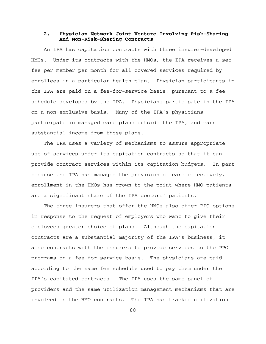# **2. Physician Network Joint Venture Involving Risk-Sharing And Non-Risk-Sharing Contracts**

An IPA has capitation contracts with three insurer-developed HMOs. Under its contracts with the HMOs, the IPA receives a set fee per member per month for all covered services required by enrollees in a particular health plan. Physician participants in the IPA are paid on a fee-for-service basis, pursuant to a fee schedule developed by the IPA. Physicians participate in the IPA on a non-exclusive basis. Many of the IPA's physicians participate in managed care plans outside the IPA, and earn substantial income from those plans.

The IPA uses a variety of mechanisms to assure appropriate use of services under its capitation contracts so that it can provide contract services within its capitation budgets. In part because the IPA has managed the provision of care effectively, enrollment in the HMOs has grown to the point where HMO patients are a significant share of the IPA doctors' patients.

The three insurers that offer the HMOs also offer PPO options in response to the request of employers who want to give their employees greater choice of plans. Although the capitation contracts are a substantial majority of the IPA's business, it also contracts with the insurers to provide services to the PPO programs on a fee-for-service basis. The physicians are paid according to the same fee schedule used to pay them under the IPA's capitated contracts. The IPA uses the same panel of providers and the same utilization management mechanisms that are involved in the HMO contracts. The IPA has tracked utilization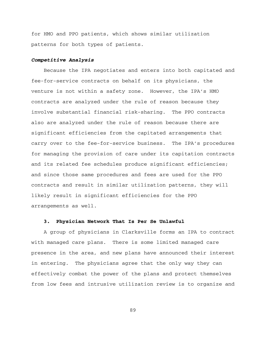for HMO and PPO patients, which shows similar utilization patterns for both types of patients.

### *Competitive Analysis*

Because the IPA negotiates and enters into both capitated and fee-for-service contracts on behalf on its physicians, the venture is not within a safety zone. However, the IPA's HMO contracts are analyzed under the rule of reason because they involve substantial financial risk-sharing. The PPO contracts also are analyzed under the rule of reason because there are significant efficiencies from the capitated arrangements that carry over to the fee-for-service business. The IPA's procedures for managing the provision of care under its capitation contracts and its related fee schedules produce significant efficiencies; and since those same procedures and fees are used for the PPO contracts and result in similar utilization patterns, they will likely result in significant efficiencies for the PPO arrangements as well.

## **3. Physician Network That Is Per Se Unlawful**

A group of physicians in Clarksville forms an IPA to contract with managed care plans. There is some limited managed care presence in the area, and new plans have announced their interest in entering. The physicians agree that the only way they can effectively combat the power of the plans and protect themselves from low fees and intrusive utilization review is to organize and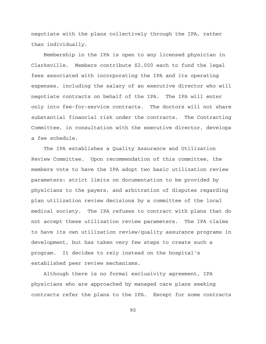negotiate with the plans collectively through the IPA, rather than individually.

Membership in the IPA is open to any licensed physician in Clarksville. Members contribute \$2,000 each to fund the legal fees associated with incorporating the IPA and its operating expenses, including the salary of an executive director who will negotiate contracts on behalf of the IPA. The IPA will enter only into fee-for-service contracts. The doctors will not share substantial financial risk under the contracts. The Contracting Committee, in consultation with the executive director, develops a fee schedule.

The IPA establishes a Quality Assurance and Utilization Review Committee. Upon recommendation of this committee, the members vote to have the IPA adopt two basic utilization review parameters: strict limits on documentation to be provided by physicians to the payers, and arbitration of disputes regarding plan utilization review decisions by a committee of the local medical society. The IPA refuses to contract with plans that do not accept these utilization review parameters. The IPA claims to have its own utilization review/quality assurance programs in development, but has taken very few steps to create such a program. It decides to rely instead on the hospital's established peer review mechanisms.

Although there is no formal exclusivity agreement, IPA physicians who are approached by managed care plans seeking contracts refer the plans to the IPA. Except for some contracts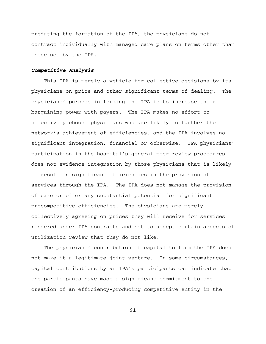predating the formation of the IPA, the physicians do not contract individually with managed care plans on terms other than those set by the IPA.

## *Competitive Analysis*

This IPA is merely a vehicle for collective decisions by its physicians on price and other significant terms of dealing. The physicians' purpose in forming the IPA is to increase their bargaining power with payers. The IPA makes no effort to selectively choose physicians who are likely to further the network's achievement of efficiencies, and the IPA involves no significant integration, financial or otherwise. IPA physicians' participation in the hospital's general peer review procedures does not evidence integration by those physicians that is likely to result in significant efficiencies in the provision of services through the IPA. The IPA does not manage the provision of care or offer any substantial potential for significant procompetitive efficiencies. The physicians are merely collectively agreeing on prices they will receive for services rendered under IPA contracts and not to accept certain aspects of utilization review that they do not like.

The physicians' contribution of capital to form the IPA does not make it a legitimate joint venture. In some circumstances, capital contributions by an IPA's participants can indicate that the participants have made a significant commitment to the creation of an efficiency-producing competitive entity in the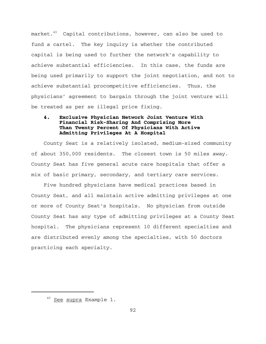market.<sup>43</sup> Capital contributions, however, can also be used to fund a cartel. The key inquiry is whether the contributed capital is being used to further the network's capability to achieve substantial efficiencies. In this case, the funds are being used primarily to support the joint negotiation, and not to achieve substantial procompetitive efficiencies. Thus, the physicians' agreement to bargain through the joint venture will be treated as per se illegal price fixing.

# **4. Exclusive Physician Network Joint Venture With Financial Risk-Sharing And Comprising More Than Twenty Percent Of Physicians With Active Admitting Privileges At A Hospital**

County Seat is a relatively isolated, medium-sized community of about 350,000 residents. The closest town is 50 miles away. County Seat has five general acute care hospitals that offer a mix of basic primary, secondary, and tertiary care services.

Five hundred physicians have medical practices based in County Seat, and all maintain active admitting privileges at one or more of County Seat's hospitals. No physician from outside County Seat has any type of admitting privileges at a County Seat hospital. The physicians represent 10 different specialties and are distributed evenly among the specialties, with 50 doctors practicing each specialty.

<sup>&</sup>lt;sup>43</sup> See supra Example 1.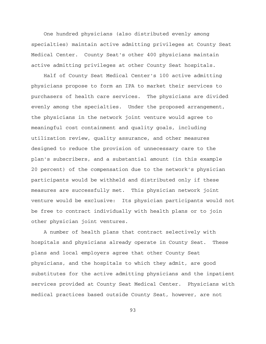One hundred physicians (also distributed evenly among specialties) maintain active admitting privileges at County Seat Medical Center. County Seat's other 400 physicians maintain active admitting privileges at other County Seat hospitals.

Half of County Seat Medical Center's 100 active admitting physicians propose to form an IPA to market their services to purchasers of health care services. The physicians are divided evenly among the specialties. Under the proposed arrangement, the physicians in the network joint venture would agree to meaningful cost containment and quality goals, including utilization review, quality assurance, and other measures designed to reduce the provision of unnecessary care to the plan's subscribers, and a substantial amount (in this example 20 percent) of the compensation due to the network's physician participants would be withheld and distributed only if these measures are successfully met. This physician network joint venture would be exclusive: Its physician participants would not be free to contract individually with health plans or to join other physician joint ventures.

A number of health plans that contract selectively with hospitals and physicians already operate in County Seat. These plans and local employers agree that other County Seat physicians, and the hospitals to which they admit, are good substitutes for the active admitting physicians and the inpatient services provided at County Seat Medical Center. Physicians with medical practices based outside County Seat, however, are not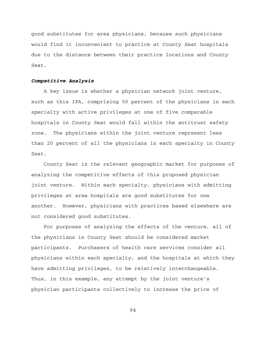good substitutes for area physicians, because such physicians would find it inconvenient to practice at County Seat hospitals due to the distance between their practice locations and County Seat.

### *Competitive Analysis*

A key issue is whether a physician network joint venture, such as this IPA, comprising 50 percent of the physicians in each specialty with active privileges at one of five comparable hospitals in County Seat would fall within the antitrust safety zone. The physicians within the joint venture represent less than 20 percent of all the physicians in each specialty in County Seat.

County Seat is the relevant geographic market for purposes of analyzing the competitive effects of this proposed physician joint venture. Within each specialty, physicians with admitting privileges at area hospitals are good substitutes for one another. However, physicians with practices based elsewhere are not considered good substitutes.

For purposes of analyzing the effects of the venture, all of the physicians in County Seat should be considered market participants. Purchasers of health care services consider all physicians within each specialty, and the hospitals at which they have admitting privileges, to be relatively interchangeable. Thus, in this example, any attempt by the joint venture's physician participants collectively to increase the price of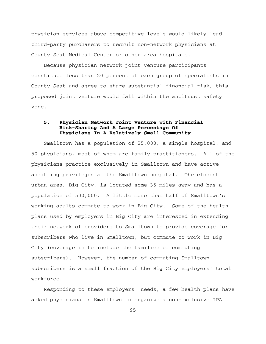physician services above competitive levels would likely lead third-party purchasers to recruit non-network physicians at County Seat Medical Center or other area hospitals.

Because physician network joint venture participants constitute less than 20 percent of each group of specialists in County Seat and agree to share substantial financial risk, this proposed joint venture would fall within the antitrust safety zone.

## **5. Physician Network Joint Venture With Financial Risk-Sharing And A Large Percentage Of Physicians In A Relatively Small Community**

Smalltown has a population of 25,000, a single hospital, and 50 physicians, most of whom are family practitioners. All of the physicians practice exclusively in Smalltown and have active admitting privileges at the Smalltown hospital. The closest urban area, Big City, is located some 35 miles away and has a population of 500,000. A little more than half of Smalltown's working adults commute to work in Big City. Some of the health plans used by employers in Big City are interested in extending their network of providers to Smalltown to provide coverage for subscribers who live in Smalltown, but commute to work in Big City (coverage is to include the families of commuting subscribers). However, the number of commuting Smalltown subscribers is a small fraction of the Big City employers' total workforce.

Responding to these employers' needs, a few health plans have asked physicians in Smalltown to organize a non-exclusive IPA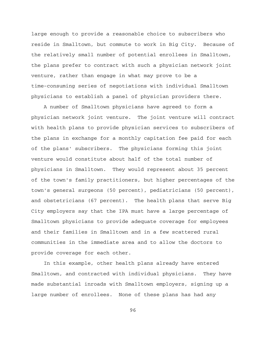large enough to provide a reasonable choice to subscribers who reside in Smalltown, but commute to work in Big City. Because of the relatively small number of potential enrollees in Smalltown, the plans prefer to contract with such a physician network joint venture, rather than engage in what may prove to be a time-consuming series of negotiations with individual Smalltown physicians to establish a panel of physician providers there.

A number of Smalltown physicians have agreed to form a physician network joint venture. The joint venture will contract with health plans to provide physician services to subscribers of the plans in exchange for a monthly capitation fee paid for each of the plans' subscribers. The physicians forming this joint venture would constitute about half of the total number of physicians in Smalltown. They would represent about 35 percent of the town's family practitioners, but higher percentages of the town's general surgeons (50 percent), pediatricians (50 percent), and obstetricians (67 percent). The health plans that serve Big City employers say that the IPA must have a large percentage of Smalltown physicians to provide adequate coverage for employees and their families in Smalltown and in a few scattered rural communities in the immediate area and to allow the doctors to provide coverage for each other.

In this example, other health plans already have entered Smalltown, and contracted with individual physicians. They have made substantial inroads with Smalltown employers, signing up a large number of enrollees. None of these plans has had any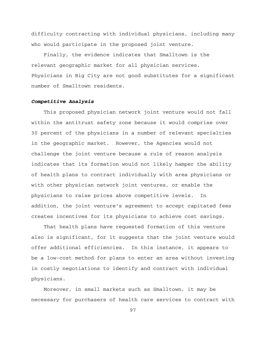difficulty contracting with individual physicians, including many who would participate in the proposed joint venture.

Finally, the evidence indicates that Smalltown is the relevant geographic market for all physician services. Physicians in Big City are not good substitutes for a significant number of Smalltown residents.

## *Competitive Analysis*

This proposed physician network joint venture would not fall within the antitrust safety zone because it would comprise over 30 percent of the physicians in a number of relevant specialties in the geographic market. However, the Agencies would not challenge the joint venture because a rule of reason analysis indicates that its formation would not likely hamper the ability of health plans to contract individually with area physicians or with other physician network joint ventures, or enable the physicians to raise prices above competitive levels. In addition, the joint venture's agreement to accept capitated fees creates incentives for its physicians to achieve cost savings.

That health plans have requested formation of this venture also is significant, for it suggests that the joint venture would offer additional efficiencies. In this instance, it appears to be a low-cost method for plans to enter an area without investing in costly negotiations to identify and contract with individual physicians.

Moreover, in small markets such as Smalltown, it may be necessary for purchasers of health care services to contract with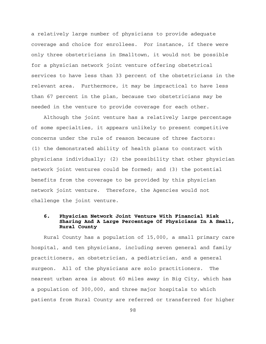a relatively large number of physicians to provide adequate coverage and choice for enrollees. For instance, if there were only three obstetricians in Smalltown, it would not be possible for a physician network joint venture offering obstetrical services to have less than 33 percent of the obstetricians in the relevant area. Furthermore, it may be impractical to have less than 67 percent in the plan, because two obstetricians may be needed in the venture to provide coverage for each other.

Although the joint venture has a relatively large percentage of some specialties, it appears unlikely to present competitive concerns under the rule of reason because of three factors: (1) the demonstrated ability of health plans to contract with physicians individually; (2) the possibility that other physician network joint ventures could be formed; and (3) the potential benefits from the coverage to be provided by this physician network joint venture. Therefore, the Agencies would not challenge the joint venture.

# **6. Physician Network Joint Venture With Financial Risk Sharing And A Large Percentage Of Physicians In A Small, Rural County**

Rural County has a population of 15,000, a small primary care hospital, and ten physicians, including seven general and family practitioners, an obstetrician, a pediatrician, and a general surgeon. All of the physicians are solo practitioners. The nearest urban area is about 60 miles away in Big City, which has a population of 300,000, and three major hospitals to which patients from Rural County are referred or transferred for higher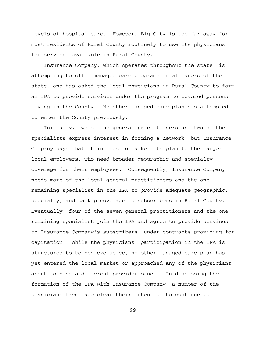levels of hospital care. However, Big City is too far away for most residents of Rural County routinely to use its physicians for services available in Rural County.

Insurance Company, which operates throughout the state, is attempting to offer managed care programs in all areas of the state, and has asked the local physicians in Rural County to form an IPA to provide services under the program to covered persons living in the County. No other managed care plan has attempted to enter the County previously.

Initially, two of the general practitioners and two of the specialists express interest in forming a network, but Insurance Company says that it intends to market its plan to the larger local employers, who need broader geographic and specialty coverage for their employees. Consequently, Insurance Company needs more of the local general practitioners and the one remaining specialist in the IPA to provide adequate geographic, specialty, and backup coverage to subscribers in Rural County. Eventually, four of the seven general practitioners and the one remaining specialist join the IPA and agree to provide services to Insurance Company's subscribers, under contracts providing for capitation. While the physicians' participation in the IPA is structured to be non-exclusive, no other managed care plan has yet entered the local market or approached any of the physicians about joining a different provider panel. In discussing the formation of the IPA with Insurance Company, a number of the physicians have made clear their intention to continue to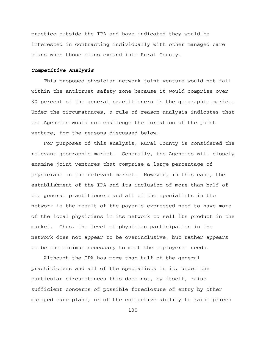practice outside the IPA and have indicated they would be interested in contracting individually with other managed care plans when those plans expand into Rural County.

## *Competitive Analysis*

This proposed physician network joint venture would not fall within the antitrust safety zone because it would comprise over 30 percent of the general practitioners in the geographic market. Under the circumstances, a rule of reason analysis indicates that the Agencies would not challenge the formation of the joint venture, for the reasons discussed below.

For purposes of this analysis, Rural County is considered the relevant geographic market. Generally, the Agencies will closely examine joint ventures that comprise a large percentage of physicians in the relevant market. However, in this case, the establishment of the IPA and its inclusion of more than half of the general practitioners and all of the specialists in the network is the result of the payer's expressed need to have more of the local physicians in its network to sell its product in the market. Thus, the level of physician participation in the network does not appear to be overinclusive, but rather appears to be the minimum necessary to meet the employers' needs.

Although the IPA has more than half of the general practitioners and all of the specialists in it, under the particular circumstances this does not, by itself, raise sufficient concerns of possible foreclosure of entry by other managed care plans, or of the collective ability to raise prices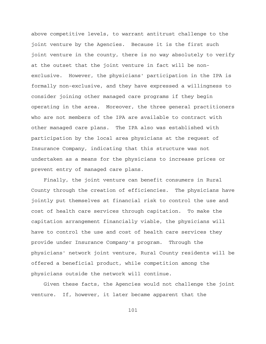above competitive levels, to warrant antitrust challenge to the joint venture by the Agencies. Because it is the first such joint venture in the county, there is no way absolutely to verify at the outset that the joint venture in fact will be nonexclusive. However, the physicians' participation in the IPA is formally non-exclusive, and they have expressed a willingness to consider joining other managed care programs if they begin operating in the area. Moreover, the three general practitioners who are not members of the IPA are available to contract with other managed care plans. The IPA also was established with participation by the local area physicians at the request of Insurance Company, indicating that this structure was not undertaken as a means for the physicians to increase prices or prevent entry of managed care plans.

Finally, the joint venture can benefit consumers in Rural County through the creation of efficiencies. The physicians have jointly put themselves at financial risk to control the use and cost of health care services through capitation. To make the capitation arrangement financially viable, the physicians will have to control the use and cost of health care services they provide under Insurance Company's program. Through the physicians' network joint venture, Rural County residents will be offered a beneficial product, while competition among the physicians outside the network will continue.

Given these facts, the Agencies would not challenge the joint venture. If, however, it later became apparent that the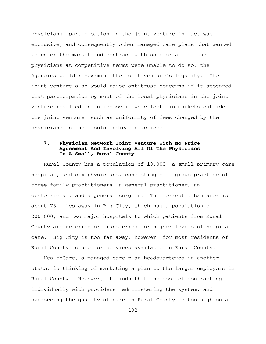physicians' participation in the joint venture in fact was exclusive, and consequently other managed care plans that wanted to enter the market and contract with some or all of the physicians at competitive terms were unable to do so, the Agencies would re-examine the joint venture's legality. The joint venture also would raise antitrust concerns if it appeared that participation by most of the local physicians in the joint venture resulted in anticompetitive effects in markets outside the joint venture, such as uniformity of fees charged by the physicians in their solo medical practices.

# **7. Physician Network Joint Venture With No Price Agreement And Involving All Of The Physicians In A Small, Rural County**

Rural County has a population of 10,000, a small primary care hospital, and six physicians, consisting of a group practice of three family practitioners, a general practitioner, an obstetrician, and a general surgeon. The nearest urban area is about 75 miles away in Big City, which has a population of 200,000, and two major hospitals to which patients from Rural County are referred or transferred for higher levels of hospital care. Big City is too far away, however, for most residents of Rural County to use for services available in Rural County.

HealthCare, a managed care plan headquartered in another state, is thinking of marketing a plan to the larger employers in Rural County. However, it finds that the cost of contracting individually with providers, administering the system, and overseeing the quality of care in Rural County is too high on a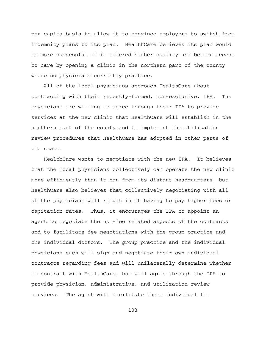per capita basis to allow it to convince employers to switch from indemnity plans to its plan. HealthCare believes its plan would be more successful if it offered higher quality and better access to care by opening a clinic in the northern part of the county where no physicians currently practice.

All of the local physicians approach HealthCare about contracting with their recently-formed, non-exclusive, IPA. The physicians are willing to agree through their IPA to provide services at the new clinic that HealthCare will establish in the northern part of the county and to implement the utilization review procedures that HealthCare has adopted in other parts of the state.

HealthCare wants to negotiate with the new IPA. It believes that the local physicians collectively can operate the new clinic more efficiently than it can from its distant headquarters, but HealthCare also believes that collectively negotiating with all of the physicians will result in it having to pay higher fees or capitation rates. Thus, it encourages the IPA to appoint an agent to negotiate the non-fee related aspects of the contracts and to facilitate fee negotiations with the group practice and the individual doctors. The group practice and the individual physicians each will sign and negotiate their own individual contracts regarding fees and will unilaterally determine whether to contract with HealthCare, but will agree through the IPA to provide physician, administrative, and utilization review services. The agent will facilitate these individual fee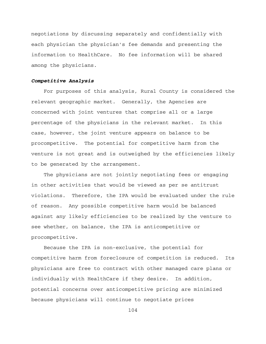negotiations by discussing separately and confidentially with each physician the physician's fee demands and presenting the information to HealthCare. No fee information will be shared among the physicians.

# *Competitive Analysis*

For purposes of this analysis, Rural County is considered the relevant geographic market. Generally, the Agencies are concerned with joint ventures that comprise all or a large percentage of the physicians in the relevant market. In this case, however, the joint venture appears on balance to be procompetitive. The potential for competitive harm from the venture is not great and is outweighed by the efficiencies likely to be generated by the arrangement.

The physicians are not jointly negotiating fees or engaging in other activities that would be viewed as per se antitrust violations. Therefore, the IPA would be evaluated under the rule of reason. Any possible competitive harm would be balanced against any likely efficiencies to be realized by the venture to see whether, on balance, the IPA is anticompetitive or procompetitive.

Because the IPA is non-exclusive, the potential for competitive harm from foreclosure of competition is reduced. Its physicians are free to contract with other managed care plans or individually with HealthCare if they desire. In addition, potential concerns over anticompetitive pricing are minimized because physicians will continue to negotiate prices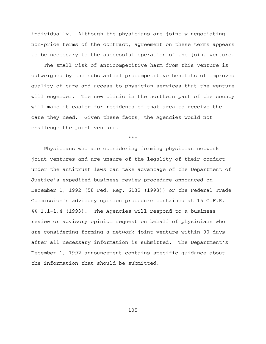individually. Although the physicians are jointly negotiating non-price terms of the contract, agreement on these terms appears to be necessary to the successful operation of the joint venture.

The small risk of anticompetitive harm from this venture is outweighed by the substantial procompetitive benefits of improved quality of care and access to physician services that the venture will engender. The new clinic in the northern part of the county will make it easier for residents of that area to receive the care they need. Given these facts, the Agencies would not challenge the joint venture.

\*\*\*

Physicians who are considering forming physician network joint ventures and are unsure of the legality of their conduct under the antitrust laws can take advantage of the Department of Justice's expedited business review procedure announced on December 1, 1992 (58 Fed. Reg. 6132 (1993)) or the Federal Trade Commission's advisory opinion procedure contained at 16 C.F.R. §§ 1.1-1.4 (1993). The Agencies will respond to a business review or advisory opinion request on behalf of physicians who are considering forming a network joint venture within 90 days after all necessary information is submitted. The Department's December 1, 1992 announcement contains specific guidance about the information that should be submitted.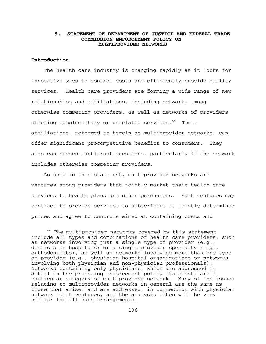## **9. STATEMENT OF DEPARTMENT OF JUSTICE AND FEDERAL TRADE COMMISSION ENFORCEMENT POLICY ON MULTIPROVIDER NETWORKS**

# **Introduction**

The health care industry is changing rapidly as it looks for innovative ways to control costs and efficiently provide quality services. Health care providers are forming a wide range of new relationships and affiliations, including networks among otherwise competing providers, as well as networks of providers offering complementary or unrelated services.<sup>44</sup> These affiliations, referred to herein as multiprovider networks, can offer significant procompetitive benefits to consumers. They also can present antitrust questions, particularly if the network includes otherwise competing providers.

As used in this statement, multiprovider networks are ventures among providers that jointly market their health care services to health plans and other purchasers. Such ventures may contract to provide services to subscribers at jointly determined prices and agree to controls aimed at containing costs and

<sup>&</sup>lt;sup>44</sup> The multiprovider networks covered by this statement include all types and combinations of health care providers, such as networks involving just a single type of provider (e.g., dentists or hospitals) or a single provider specialty (e.g., orthodontists), as well as networks involving more than one type of provider (e.g., physician-hospital organizations or networks involving both physician and non-physician professionals). Networks containing only physicians, which are addressed in detail in the preceding enforcement policy statement, are a particular category of multiprovider network. Many of the issues relating to multiprovider networks in general are the same as those that arise, and are addressed, in connection with physician network joint ventures, and the analysis often will be very similar for all such arrangements.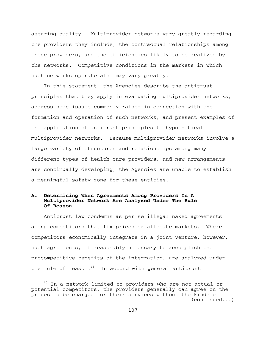assuring quality. Multiprovider networks vary greatly regarding the providers they include, the contractual relationships among those providers, and the efficiencies likely to be realized by the networks. Competitive conditions in the markets in which such networks operate also may vary greatly.

In this statement, the Agencies describe the antitrust principles that they apply in evaluating multiprovider networks, address some issues commonly raised in connection with the formation and operation of such networks, and present examples of the application of antitrust principles to hypothetical multiprovider networks. Because multiprovider networks involve a large variety of structures and relationships among many different types of health care providers, and new arrangements are continually developing, the Agencies are unable to establish a meaningful safety zone for these entities.

## **A. Determining When Agreements Among Providers In A Multiprovider Network Are Analyzed Under The Rule Of Reason**

Antitrust law condemns as per se illegal naked agreements among competitors that fix prices or allocate markets. Where competitors economically integrate in a joint venture, however, such agreements, if reasonably necessary to accomplish the procompetitive benefits of the integration, are analyzed under the rule of reason. $45$  In accord with general antitrust

<sup>&</sup>lt;sup>45</sup> In a network limited to providers who are not actual or potential competitors, the providers generally can agree on the prices to be charged for their services without the kinds of (continued...)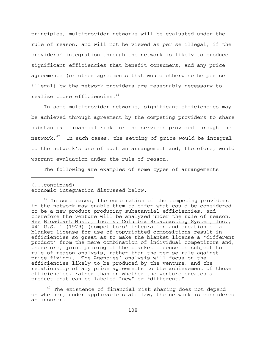realize those efficiencies. $^{46}$ principles, multiprovider networks will be evaluated under the rule of reason, and will not be viewed as per se illegal, if the providers' integration through the network is likely to produce significant efficiencies that benefit consumers, and any price agreements (or other agreements that would otherwise be per se illegal) by the network providers are reasonably necessary to

In some multiprovider networks, significant efficiencies may be achieved through agreement by the competing providers to share substantial financial risk for the services provided through the network. $47$  In such cases, the setting of price would be integral to the network's use of such an arrangement and, therefore, would warrant evaluation under the rule of reason.

The following are examples of some types of arrangements

(...continued)

economic integration discussed below.

<sup>&</sup>lt;sup>46</sup> In some cases, the combination of the competing providers in the network may enable them to offer what could be considered to be a new product producing substantial efficiencies, and therefore the venture will be analyzed under the rule of reason. See Broadcast Music, Inc. v. Columbia Broadcasting System, Inc., 441 U.S. 1 (1979) (competitors' integration and creation of a blanket license for use of copyrighted compositions result in efficiencies so great as to make the blanket license a "different product" from the mere combination of individual competitors and, therefore, joint pricing of the blanket license is subject to rule of reason analysis, rather than the per se rule against price fixing). The Agencies' analysis will focus on the efficiencies likely to be produced by the venture, and the relationship of any price agreements to the achievement of those efficiencies, rather than on whether the venture creates a product that can be labeled "new" or "different."

 $47$  The existence of financial risk sharing does not depend on whether, under applicable state law, the network is considered an insurer.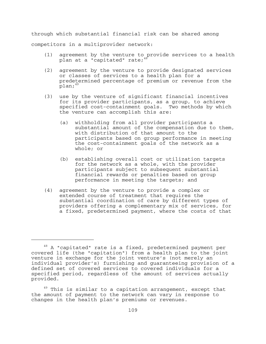through which substantial financial risk can be shared among competitors in a multiprovider network:

- (1) agreement by the venture to provide services to a health plan at a "capitated" rate;<sup>48</sup>
- (2) agreement by the venture to provide designated services or classes of services to a health plan for a predetermined percentage of premium or revenue from the plan; 49
- (3) use by the venture of significant financial incentives for its provider participants, as a group, to achieve specified cost-containment goals. Two methods by which the venture can accomplish this are:
	- (a) withholding from all provider participants a substantial amount of the compensation due to them, with distribution of that amount to the participants based on group performance in meeting the cost-containment goals of the network as a whole; or
	- (b) establishing overall cost or utilization targets for the network as a whole, with the provider participants subject to subsequent substantial financial rewards or penalties based on group performance in meeting the targets; and
- (4) agreement by the venture to provide a complex or extended course of treatment that requires the substantial coordination of care by different types of providers offering a complementary mix of services, for a fixed, predetermined payment, where the costs of that

<sup>&</sup>lt;sup>48</sup> A "capitated" rate is a fixed, predetermined payment per covered life (the "capitation") from a health plan to the joint venture in exchange for the joint venture's (not merely an individual provider's) furnishing and guaranteeing provision of a defined set of covered services to covered individuals for a specified period, regardless of the amount of services actually provided.

 $49$  This is similar to a capitation arrangement, except that the amount of payment to the network can vary in response to changes in the health plan's premiums or revenues.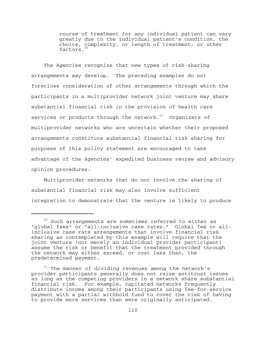course of treatment for any individual patient can vary greatly due to the individual patient's condition, the choice, complexity, or length of treatment, or other factors.<sup>50</sup>

The Agencies recognize that new types of risk-sharing arrangements may develop. The preceding examples do not foreclose consideration of other arrangements through which the participants in a multiprovider network joint venture may share substantial financial risk in the provision of health care services or products through the network. $51$  Organizers of multiprovider networks who are uncertain whether their proposed arrangements constitute substantial financial risk sharing for purposes of this policy statement are encouraged to take advantage of the Agencies' expedited business review and advisory opinion procedures.

Multiprovider networks that do not involve the sharing of substantial financial risk may also involve sufficient integration to demonstrate that the venture is likely to produce

<sup>&</sup>lt;sup>50</sup> Such arrangements are sometimes referred to either as "global fees" or "all-inclusive case rates." Global fee or allinclusive case rate arrangements that involve financial risk sharing as contemplated by this example will require that the joint venture (not merely an individual provider participant) assume the risk or benefit that the treatment provided through the network may either exceed, or cost less than, the predetermined payment.

<sup>&</sup>lt;sup>51</sup> The manner of dividing revenues among the network's provider participants generally does not raise antitrust issues so long as the competing providers in a network share substantial financial risk. For example, capitated networks frequently distribute income among their participants using fee-for-service payment with a partial withhold fund to cover the risk of having to provide more services than were originally anticipated.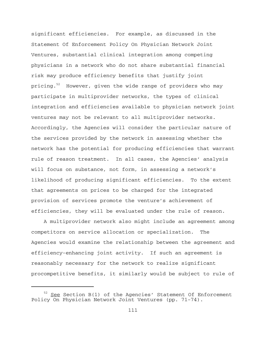significant efficiencies. For example, as discussed in the Statement Of Enforcement Policy On Physician Network Joint Ventures, substantial clinical integration among competing physicians in a network who do not share substantial financial risk may produce efficiency benefits that justify joint pricing. $52$  However, given the wide range of providers who may participate in multiprovider networks, the types of clinical integration and efficiencies available to physician network joint ventures may not be relevant to all multiprovider networks. Accordingly, the Agencies will consider the particular nature of the services provided by the network in assessing whether the network has the potential for producing efficiencies that warrant rule of reason treatment. In all cases, the Agencies' analysis will focus on substance, not form, in assessing a network's likelihood of producing significant efficiencies. To the extent that agreements on prices to be charged for the integrated provision of services promote the venture's achievement of efficiencies, they will be evaluated under the rule of reason.

A multiprovider network also might include an agreement among competitors on service allocation or specialization. The Agencies would examine the relationship between the agreement and efficiency-enhancing joint activity. If such an agreement is reasonably necessary for the network to realize significant procompetitive benefits, it similarly would be subject to rule of

 $52$  See Section B(1) of the Agencies' Statement Of Enforcement Policy On Physician Network Joint Ventures (pp. 71-74).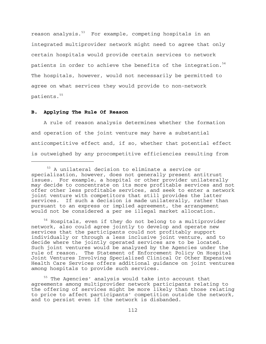reason analysis. $53$  For example, competing hospitals in an integrated multiprovider network might need to agree that only certain hospitals would provide certain services to network patients in order to achieve the benefits of the integration.<sup>54</sup> The hospitals, however, would not necessarily be permitted to agree on what services they would provide to non-network patients.55

#### **B. Applying The Rule Of Reason**

A rule of reason analysis determines whether the formation and operation of the joint venture may have a substantial anticompetitive effect and, if so, whether that potential effect is outweighed by any procompetitive efficiencies resulting from

<sup>54</sup> Hospitals, even if they do not belong to a multiprovider network, also could agree jointly to develop and operate new services that the participants could not profitably support individually or through a less inclusive joint venture, and to decide where the jointly operated services are to be located. Such joint ventures would be analyzed by the Agencies under the rule of reason. The Statement of Enforcement Policy On Hospital Joint Ventures Involving Specialized Clinical Or Other Expensive Health Care Services offers additional guidance on joint ventures among hospitals to provide such services.

<sup>55</sup> The Agencies' analysis would take into account that agreements among multiprovider network participants relating to the offering of services might be more likely than those relating to price to affect participants' competition outside the network, and to persist even if the network is disbanded.

<sup>&</sup>lt;sup>53</sup> A unilateral decision to eliminate a service or specialization, however, does not generally present antitrust issues. For example, a hospital or other provider unilaterally may decide to concentrate on its more profitable services and not offer other less profitable services, and seek to enter a network joint venture with competitors that still provides the latter services. If such a decision is made unilaterally, rather than pursuant to an express or implied agreement, the arrangement would not be considered a per se illegal market allocation.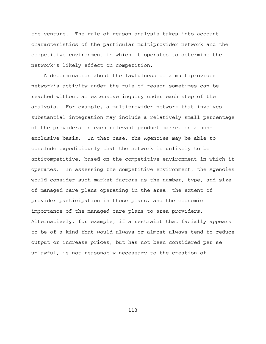the venture. The rule of reason analysis takes into account characteristics of the particular multiprovider network and the competitive environment in which it operates to determine the network's likely effect on competition.

A determination about the lawfulness of a multiprovider network's activity under the rule of reason sometimes can be reached without an extensive inquiry under each step of the analysis. For example, a multiprovider network that involves substantial integration may include a relatively small percentage of the providers in each relevant product market on a nonexclusive basis. In that case, the Agencies may be able to conclude expeditiously that the network is unlikely to be anticompetitive, based on the competitive environment in which it operates. In assessing the competitive environment, the Agencies would consider such market factors as the number, type, and size of managed care plans operating in the area, the extent of provider participation in those plans, and the economic importance of the managed care plans to area providers. Alternatively, for example, if a restraint that facially appears to be of a kind that would always or almost always tend to reduce output or increase prices, but has not been considered per se unlawful, is not reasonably necessary to the creation of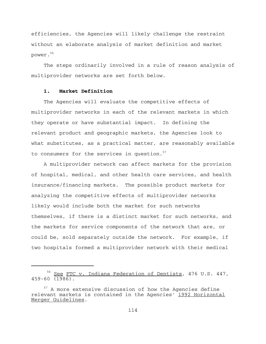efficiencies, the Agencies will likely challenge the restraint without an elaborate analysis of market definition and market 56 power.

The steps ordinarily involved in a rule of reason analysis of multiprovider networks are set forth below.

## **1. Market Definition**

The Agencies will evaluate the competitive effects of multiprovider networks in each of the relevant markets in which they operate or have substantial impact. In defining the relevant product and geographic markets, the Agencies look to what substitutes, as a practical matter, are reasonably available to consumers for the services in question.<sup>57</sup>

A multiprovider network can affect markets for the provision of hospital, medical, and other health care services, and health insurance/financing markets. The possible product markets for analyzing the competitive effects of multiprovider networks likely would include both the market for such networks themselves, if there is a distinct market for such networks, and the markets for service components of the network that are, or could be, sold separately outside the network. For example, if two hospitals formed a multiprovider network with their medical

<sup>56</sup> See FTC v. Indiana Federation of Dentists, 476 U.S. 447, 459-60 (1986).

<sup>&</sup>lt;sup>57</sup> A more extensive discussion of how the Agencies define relevant markets is contained in the Agencies' 1992 Horizontal Merger Guidelines.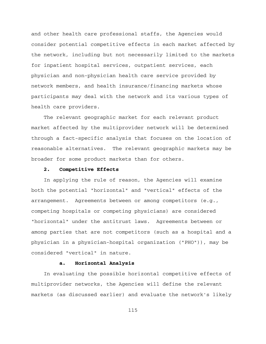and other health care professional staffs, the Agencies would consider potential competitive effects in each market affected by the network, including but not necessarily limited to the markets for inpatient hospital services, outpatient services, each physician and non-physician health care service provided by network members, and health insurance/financing markets whose participants may deal with the network and its various types of health care providers.

The relevant geographic market for each relevant product market affected by the multiprovider network will be determined through a fact-specific analysis that focuses on the location of reasonable alternatives. The relevant geographic markets may be broader for some product markets than for others.

## **2. Competitive Effects**

In applying the rule of reason, the Agencies will examine both the potential "horizontal" and "vertical" effects of the arrangement. Agreements between or among competitors (e.g., competing hospitals or competing physicians) are considered "horizontal" under the antitrust laws. Agreements between or among parties that are not competitors (such as a hospital and a physician in a physician-hospital organization ("PHO")), may be considered "vertical" in nature.

## **a. Horizontal Analysis**

In evaluating the possible horizontal competitive effects of multiprovider networks, the Agencies will define the relevant markets (as discussed earlier) and evaluate the network's likely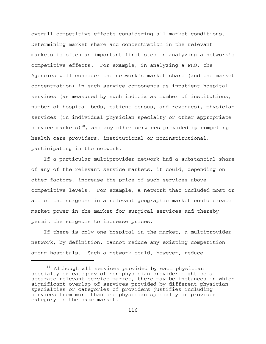overall competitive effects considering all market conditions. Determining market share and concentration in the relevant markets is often an important first step in analyzing a network's competitive effects. For example, in analyzing a PHO, the Agencies will consider the network's market share (and the market concentration) in such service components as inpatient hospital services (as measured by such indicia as number of institutions, number of hospital beds, patient census, and revenues), physician services (in individual physician specialty or other appropriate service markets) $58$ , and any other services provided by competing health care providers, institutional or noninstitutional, participating in the network.

If a particular multiprovider network had a substantial share of any of the relevant service markets, it could, depending on other factors, increase the price of such services above competitive levels. For example, a network that included most or all of the surgeons in a relevant geographic market could create market power in the market for surgical services and thereby permit the surgeons to increase prices.

If there is only one hospital in the market, a multiprovider network, by definition, cannot reduce any existing competition among hospitals. Such a network could, however, reduce

<sup>&</sup>lt;sup>58</sup> Although all services provided by each physician specialty or category of non-physician provider might be a separate relevant service market, there may be instances in which significant overlap of services provided by different physician specialties or categories of providers justifies including services from more than one physician specialty or provider category in the same market.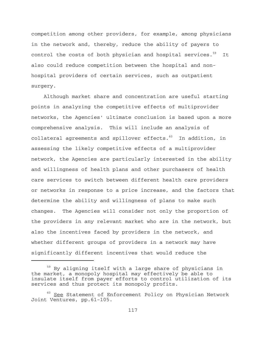competition among other providers, for example, among physicians in the network and, thereby, reduce the ability of payers to control the costs of both physician and hospital services.<sup>59</sup> It also could reduce competition between the hospital and nonhospital providers of certain services, such as outpatient surgery.

Although market share and concentration are useful starting points in analyzing the competitive effects of multiprovider networks, the Agencies' ultimate conclusion is based upon a more comprehensive analysis. This will include an analysis of collateral agreements and spillover effects.<sup>60</sup> In addition, in assessing the likely competitive effects of a multiprovider network, the Agencies are particularly interested in the ability and willingness of health plans and other purchasers of health care services to switch between different health care providers or networks in response to a price increase, and the factors that determine the ability and willingness of plans to make such changes. The Agencies will consider not only the proportion of the providers in any relevant market who are in the network, but also the incentives faced by providers in the network, and whether different groups of providers in a network may have significantly different incentives that would reduce the

<sup>59</sup> By aligning itself with a large share of physicians in the market, a monopoly hospital may effectively be able to insulate itself from payer efforts to control utilization of its services and thus protect its monopoly profits.

<sup>60</sup> See Statement of Enforcement Policy on Physician Network Joint Ventures, pp.61-105.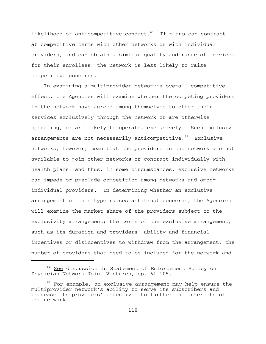likelihood of anticompetitive conduct. $61$  If plans can contract at competitive terms with other networks or with individual providers, and can obtain a similar quality and range of services for their enrollees, the network is less likely to raise competitive concerns.

In examining a multiprovider network's overall competitive effect, the Agencies will examine whether the competing providers in the network have agreed among themselves to offer their services exclusively through the network or are otherwise operating, or are likely to operate, exclusively. Such exclusive arrangements are not necessarily anticompetitive. $62$  Exclusive networks, however, mean that the providers in the network are not available to join other networks or contract individually with health plans, and thus, in some circumstances, exclusive networks can impede or preclude competition among networks and among individual providers. In determining whether an exclusive arrangement of this type raises antitrust concerns, the Agencies will examine the market share of the providers subject to the exclusivity arrangement; the terms of the exclusive arrangement, such as its duration and providers' ability and financial incentives or disincentives to withdraw from the arrangement; the number of providers that need to be included for the network and

<sup>&</sup>lt;sup>61</sup> See discussion in Statement of Enforcement Policy on Physician Network Joint Ventures, pp. 61-105.

 $62$  For example, an exclusive arrangement may help ensure the multiprovider network's ability to serve its subscribers and increase its providers' incentives to further the interests of the network.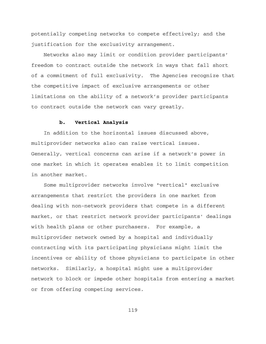potentially competing networks to compete effectively; and the justification for the exclusivity arrangement.

Networks also may limit or condition provider participants' freedom to contract outside the network in ways that fall short of a commitment of full exclusivity. The Agencies recognize that the competitive impact of exclusive arrangements or other limitations on the ability of a network's provider participants to contract outside the network can vary greatly.

#### **b. Vertical Analysis**

In addition to the horizontal issues discussed above, multiprovider networks also can raise vertical issues. Generally, vertical concerns can arise if a network's power in one market in which it operates enables it to limit competition in another market.

Some multiprovider networks involve "vertical" exclusive arrangements that restrict the providers in one market from dealing with non-network providers that compete in a different market, or that restrict network provider participants' dealings with health plans or other purchasers. For example, a multiprovider network owned by a hospital and individually contracting with its participating physicians might limit the incentives or ability of those physicians to participate in other networks. Similarly, a hospital might use a multiprovider network to block or impede other hospitals from entering a market or from offering competing services.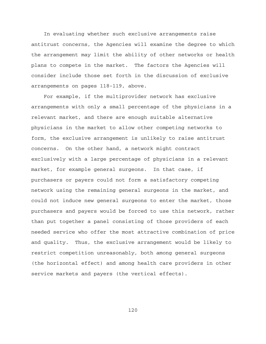In evaluating whether such exclusive arrangements raise antitrust concerns, the Agencies will examine the degree to which the arrangement may limit the ability of other networks or health plans to compete in the market. The factors the Agencies will consider include those set forth in the discussion of exclusive arrangements on pages 118-119, above.

For example, if the multiprovider network has exclusive arrangements with only a small percentage of the physicians in a relevant market, and there are enough suitable alternative physicians in the market to allow other competing networks to form, the exclusive arrangement is unlikely to raise antitrust concerns. On the other hand, a network might contract exclusively with a large percentage of physicians in a relevant market, for example general surgeons. In that case, if purchasers or payers could not form a satisfactory competing network using the remaining general surgeons in the market, and could not induce new general surgeons to enter the market, those purchasers and payers would be forced to use this network, rather than put together a panel consisting of those providers of each needed service who offer the most attractive combination of price and quality. Thus, the exclusive arrangement would be likely to restrict competition unreasonably, both among general surgeons (the horizontal effect) and among health care providers in other service markets and payers (the vertical effects).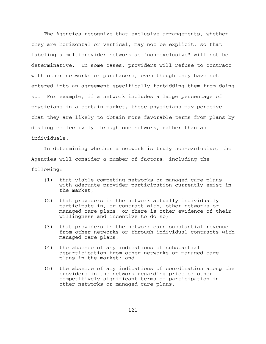The Agencies recognize that exclusive arrangements, whether they are horizontal or vertical, may not be explicit, so that labeling a multiprovider network as "non-exclusive" will not be determinative. In some cases, providers will refuse to contract with other networks or purchasers, even though they have not entered into an agreement specifically forbidding them from doing so. For example, if a network includes a large percentage of physicians in a certain market, those physicians may perceive that they are likely to obtain more favorable terms from plans by dealing collectively through one network, rather than as individuals.

In determining whether a network is truly non-exclusive, the Agencies will consider a number of factors, including the following:

- (1) that viable competing networks or managed care plans with adequate provider participation currently exist in the market;
- (2) that providers in the network actually individually participate in, or contract with, other networks or managed care plans, or there is other evidence of their willingness and incentive to do so;
- (3) that providers in the network earn substantial revenue from other networks or through individual contracts with managed care plans;
- (4) the absence of any indications of substantial departicipation from other networks or managed care plans in the market; and
- (5) the absence of any indications of coordination among the providers in the network regarding price or other competitively significant terms of participation in other networks or managed care plans.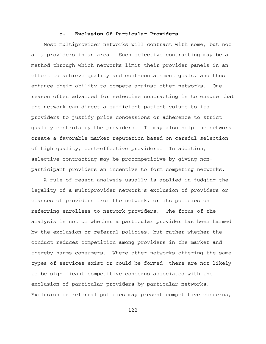## **c. Exclusion Of Particular Providers**

Most multiprovider networks will contract with some, but not all, providers in an area. Such selective contracting may be a method through which networks limit their provider panels in an effort to achieve quality and cost-containment goals, and thus enhance their ability to compete against other networks. One reason often advanced for selective contracting is to ensure that the network can direct a sufficient patient volume to its providers to justify price concessions or adherence to strict quality controls by the providers. It may also help the network create a favorable market reputation based on careful selection of high quality, cost-effective providers. In addition, selective contracting may be procompetitive by giving nonparticipant providers an incentive to form competing networks.

A rule of reason analysis usually is applied in judging the legality of a multiprovider network's exclusion of providers or classes of providers from the network, or its policies on referring enrollees to network providers. The focus of the analysis is not on whether a particular provider has been harmed by the exclusion or referral policies, but rather whether the conduct reduces competition among providers in the market and thereby harms consumers. Where other networks offering the same types of services exist or could be formed, there are not likely to be significant competitive concerns associated with the exclusion of particular providers by particular networks. Exclusion or referral policies may present competitive concerns,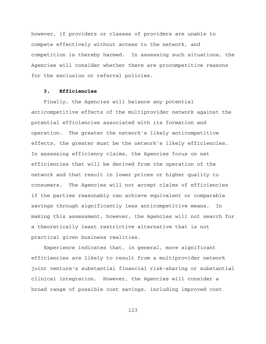however, if providers or classes of providers are unable to compete effectively without access to the network, and competition is thereby harmed. In assessing such situations, the Agencies will consider whether there are procompetitive reasons for the exclusion or referral policies.

## **3. Efficiencies**

Finally, the Agencies will balance any potential anticompetitive effects of the multiprovider network against the potential efficiencies associated with its formation and operation. The greater the network's likely anticompetitive effects, the greater must be the network's likely efficiencies. In assessing efficiency claims, the Agencies focus on net efficiencies that will be derived from the operation of the network and that result in lower prices or higher quality to consumers. The Agencies will not accept claims of efficiencies if the parties reasonably can achieve equivalent or comparable savings through significantly less anticompetitive means. In making this assessment, however, the Agencies will not search for a theoretically least restrictive alternative that is not practical given business realities.

Experience indicates that, in general, more significant efficiencies are likely to result from a multiprovider network joint venture's substantial financial risk-sharing or substantial clinical integration. However, the Agencies will consider a broad range of possible cost savings, including improved cost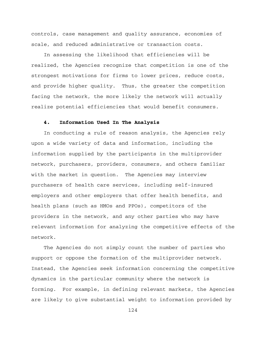controls, case management and quality assurance, economies of scale, and reduced administrative or transaction costs.

In assessing the likelihood that efficiencies will be realized, the Agencies recognize that competition is one of the strongest motivations for firms to lower prices, reduce costs, and provide higher quality. Thus, the greater the competition facing the network, the more likely the network will actually realize potential efficiencies that would benefit consumers.

#### **4. Information Used In The Analysis**

In conducting a rule of reason analysis, the Agencies rely upon a wide variety of data and information, including the information supplied by the participants in the multiprovider network, purchasers, providers, consumers, and others familiar with the market in question. The Agencies may interview purchasers of health care services, including self-insured employers and other employers that offer health benefits, and health plans (such as HMOs and PPOs), competitors of the providers in the network, and any other parties who may have relevant information for analyzing the competitive effects of the network.

The Agencies do not simply count the number of parties who support or oppose the formation of the multiprovider network. Instead, the Agencies seek information concerning the competitive dynamics in the particular community where the network is forming. For example, in defining relevant markets, the Agencies are likely to give substantial weight to information provided by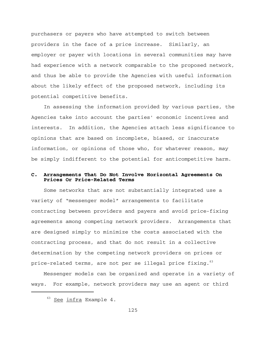purchasers or payers who have attempted to switch between providers in the face of a price increase. Similarly, an employer or payer with locations in several communities may have had experience with a network comparable to the proposed network, and thus be able to provide the Agencies with useful information about the likely effect of the proposed network, including its potential competitive benefits.

In assessing the information provided by various parties, the Agencies take into account the parties' economic incentives and interests. In addition, the Agencies attach less significance to opinions that are based on incomplete, biased, or inaccurate information, or opinions of those who, for whatever reason, may be simply indifferent to the potential for anticompetitive harm.

# **C. Arrangements That Do Not Involve Horizontal Agreements On Prices Or Price-Related Terms**

Some networks that are not substantially integrated use a variety of "messenger model" arrangements to facilitate contracting between providers and payers and avoid price-fixing agreements among competing network providers. Arrangements that are designed simply to minimize the costs associated with the contracting process, and that do not result in a collective determination by the competing network providers on prices or price-related terms, are not per se illegal price fixing.<sup>63</sup>

Messenger models can be organized and operate in a variety of ways. For example, network providers may use an agent or third

<sup>&</sup>lt;sup>63</sup> See infra Example 4.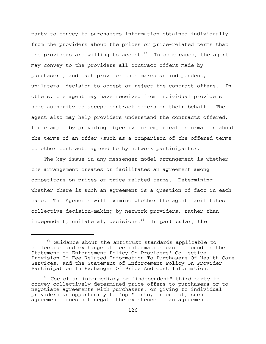party to convey to purchasers information obtained individually from the providers about the prices or price-related terms that the providers are willing to accept. $64$  In some cases, the agent may convey to the providers all contract offers made by purchasers, and each provider then makes an independent, unilateral decision to accept or reject the contract offers. In others, the agent may have received from individual providers some authority to accept contract offers on their behalf. The agent also may help providers understand the contracts offered, for example by providing objective or empirical information about the terms of an offer (such as a comparison of the offered terms to other contracts agreed to by network participants).

The key issue in any messenger model arrangement is whether the arrangement creates or facilitates an agreement among competitors on prices or price-related terms. Determining whether there is such an agreement is a question of fact in each case. The Agencies will examine whether the agent facilitates collective decision-making by network providers, rather than independent, unilateral, decisions. $65$  In particular, the

 $64$  Guidance about the antitrust standards applicable to collection and exchange of fee information can be found in the Statement of Enforcement Policy On Providers' Collective Provision Of Fee-Related Information To Purchasers Of Health Care Services, and the Statement of Enforcement Policy On Provider Participation In Exchanges Of Price And Cost Information.

<sup>&</sup>lt;sup>65</sup> Use of an intermediary or "independent" third party to convey collectively determined price offers to purchasers or to negotiate agreements with purchasers, or giving to individual providers an opportunity to "opt" into, or out of, such agreements does not negate the existence of an agreement.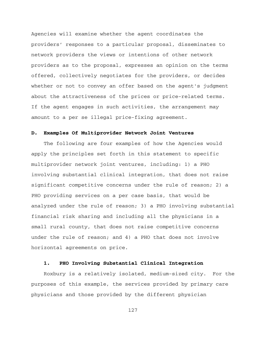Agencies will examine whether the agent coordinates the providers' responses to a particular proposal, disseminates to network providers the views or intentions of other network providers as to the proposal, expresses an opinion on the terms offered, collectively negotiates for the providers, or decides whether or not to convey an offer based on the agent's judgment about the attractiveness of the prices or price-related terms. If the agent engages in such activities, the arrangement may amount to a per se illegal price-fixing agreement.

#### **D. Examples Of Multiprovider Network Joint Ventures**

The following are four examples of how the Agencies would apply the principles set forth in this statement to specific multiprovider network joint ventures, including: 1) a PHO involving substantial clinical integration, that does not raise significant competitive concerns under the rule of reason; 2) a PHO providing services on a per case basis, that would be analyzed under the rule of reason; 3) a PHO involving substantial financial risk sharing and including all the physicians in a small rural county, that does not raise competitive concerns under the rule of reason; and 4) a PHO that does not involve horizontal agreements on price.

## **1. PHO Involving Substantial Clinical Integration**

Roxbury is a relatively isolated, medium-sized city. For the purposes of this example, the services provided by primary care physicians and those provided by the different physician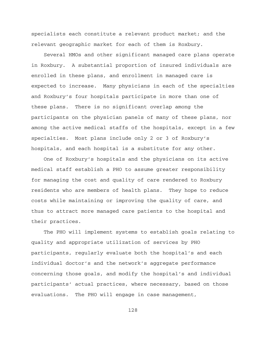specialists each constitute a relevant product market; and the relevant geographic market for each of them is Roxbury.

Several HMOs and other significant managed care plans operate in Roxbury. A substantial proportion of insured individuals are enrolled in these plans, and enrollment in managed care is expected to increase. Many physicians in each of the specialties and Roxbury's four hospitals participate in more than one of these plans. There is no significant overlap among the participants on the physician panels of many of these plans, nor among the active medical staffs of the hospitals, except in a few specialties. Most plans include only 2 or 3 of Roxbury's hospitals, and each hospital is a substitute for any other.

One of Roxbury's hospitals and the physicians on its active medical staff establish a PHO to assume greater responsibility for managing the cost and quality of care rendered to Roxbury residents who are members of health plans. They hope to reduce costs while maintaining or improving the quality of care, and thus to attract more managed care patients to the hospital and their practices.

The PHO will implement systems to establish goals relating to quality and appropriate utilization of services by PHO participants, regularly evaluate both the hospital's and each individual doctor's and the network's aggregate performance concerning those goals, and modify the hospital's and individual participants' actual practices, where necessary, based on those evaluations. The PHO will engage in case management,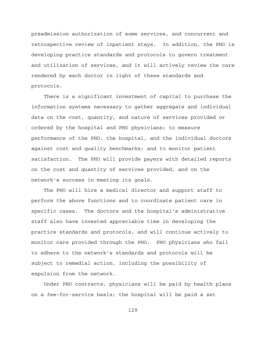preadmission authorization of some services, and concurrent and retrospective review of inpatient stays. In addition, the PHO is developing practice standards and protocols to govern treatment and utilization of services, and it will actively review the care rendered by each doctor in light of these standards and protocols.

There is a significant investment of capital to purchase the information systems necessary to gather aggregate and individual data on the cost, quantity, and nature of services provided or ordered by the hospital and PHO physicians; to measure performance of the PHO, the hospital, and the individual doctors against cost and quality benchmarks; and to monitor patient satisfaction. The PHO will provide payers with detailed reports on the cost and quantity of services provided, and on the network's success in meeting its goals.

The PHO will hire a medical director and support staff to perform the above functions and to coordinate patient care in specific cases. The doctors and the hospital's administrative staff also have invested appreciable time in developing the practice standards and protocols, and will continue actively to monitor care provided through the PHO. PHO physicians who fail to adhere to the network's standards and protocols will be subject to remedial action, including the possibility of expulsion from the network.

Under PHO contracts, physicians will be paid by health plans on a fee-for-service basis; the hospital will be paid a set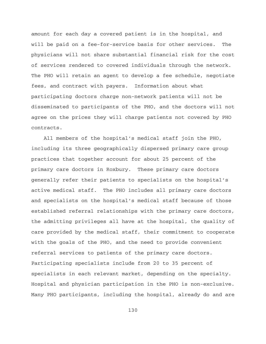amount for each day a covered patient is in the hospital, and will be paid on a fee-for-service basis for other services. The physicians will not share substantial financial risk for the cost of services rendered to covered individuals through the network. The PHO will retain an agent to develop a fee schedule, negotiate fees, and contract with payers. Information about what participating doctors charge non-network patients will not be disseminated to participants of the PHO, and the doctors will not agree on the prices they will charge patients not covered by PHO contracts.

All members of the hospital's medical staff join the PHO, including its three geographically dispersed primary care group practices that together account for about 25 percent of the primary care doctors in Roxbury. These primary care doctors generally refer their patients to specialists on the hospital's active medical staff. The PHO includes all primary care doctors and specialists on the hospital's medical staff because of those established referral relationships with the primary care doctors, the admitting privileges all have at the hospital, the quality of care provided by the medical staff, their commitment to cooperate with the goals of the PHO, and the need to provide convenient referral services to patients of the primary care doctors. Participating specialists include from 20 to 35 percent of specialists in each relevant market, depending on the specialty. Hospital and physician participation in the PHO is non-exclusive. Many PHO participants, including the hospital, already do and are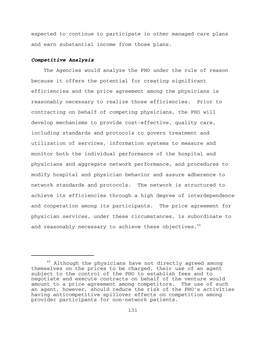expected to continue to participate in other managed care plans and earn substantial income from those plans.

## *Competitive Analysis*

The Agencies would analyze the PHO under the rule of reason because it offers the potential for creating significant efficiencies and the price agreement among the physicians is reasonably necessary to realize those efficiencies. Prior to contracting on behalf of competing physicians, the PHO will develop mechanisms to provide cost-effective, quality care, including standards and protocols to govern treatment and utilization of services, information systems to measure and monitor both the individual performance of the hospital and physicians and aggregate network performance, and procedures to modify hospital and physician behavior and assure adherence to network standards and protocols. The network is structured to achieve its efficiencies through a high degree of interdependence and cooperation among its participants. The price agreement for physician services, under these circumstances, is subordinate to and reasonably necessary to achieve these objectives.<sup>66</sup>

<sup>&</sup>lt;sup>66</sup> Although the physicians have not directly agreed among themselves on the prices to be charged, their use of an agent subject to the control of the PHO to establish fees and to negotiate and execute contracts on behalf of the venture would amount to a price agreement among competitors. The use of such an agent, however, should reduce the risk of the PHO's activities having anticompetitive spillover effects on competition among provider participants for non-network patients.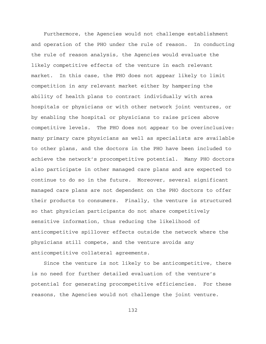Furthermore, the Agencies would not challenge establishment and operation of the PHO under the rule of reason. In conducting the rule of reason analysis, the Agencies would evaluate the likely competitive effects of the venture in each relevant market. In this case, the PHO does not appear likely to limit competition in any relevant market either by hampering the ability of health plans to contract individually with area hospitals or physicians or with other network joint ventures, or by enabling the hospital or physicians to raise prices above competitive levels. The PHO does not appear to be overinclusive: many primary care physicians as well as specialists are available to other plans, and the doctors in the PHO have been included to achieve the network's procompetitive potential. Many PHO doctors also participate in other managed care plans and are expected to continue to do so in the future. Moreover, several significant managed care plans are not dependent on the PHO doctors to offer their products to consumers. Finally, the venture is structured so that physician participants do not share competitively sensitive information, thus reducing the likelihood of anticompetitive spillover effects outside the network where the physicians still compete, and the venture avoids any anticompetitive collateral agreements.

Since the venture is not likely to be anticompetitive, there is no need for further detailed evaluation of the venture's potential for generating procompetitive efficiencies. For these reasons, the Agencies would not challenge the joint venture.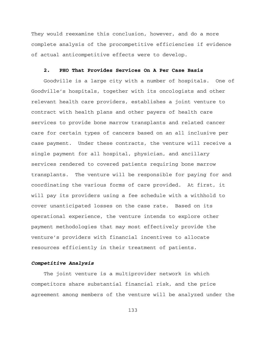They would reexamine this conclusion, however, and do a more complete analysis of the procompetitive efficiencies if evidence of actual anticompetitive effects were to develop.

# **2. PHO That Provides Services On A Per Case Basis**

Goodville is a large city with a number of hospitals. One of Goodville's hospitals, together with its oncologists and other relevant health care providers, establishes a joint venture to contract with health plans and other payers of health care services to provide bone marrow transplants and related cancer care for certain types of cancers based on an all inclusive per case payment. Under these contracts, the venture will receive a single payment for all hospital, physician, and ancillary services rendered to covered patients requiring bone marrow transplants. The venture will be responsible for paying for and coordinating the various forms of care provided. At first, it will pay its providers using a fee schedule with a withhold to cover unanticipated losses on the case rate. Based on its operational experience, the venture intends to explore other payment methodologies that may most effectively provide the venture's providers with financial incentives to allocate resources efficiently in their treatment of patients.

#### *Competitive Analysis*

The joint venture is a multiprovider network in which competitors share substantial financial risk, and the price agreement among members of the venture will be analyzed under the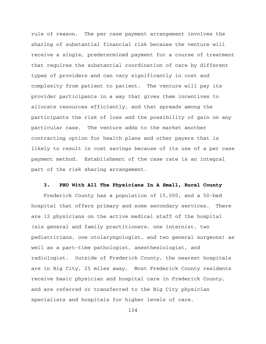rule of reason. The per case payment arrangement involves the sharing of substantial financial risk because the venture will receive a single, predetermined payment for a course of treatment that requires the substantial coordination of care by different types of providers and can vary significantly in cost and complexity from patient to patient. The venture will pay its provider participants in a way that gives them incentives to allocate resources efficiently, and that spreads among the participants the risk of loss and the possibility of gain on any particular case. The venture adds to the market another contracting option for health plans and other payers that is likely to result in cost savings because of its use of a per case payment method. Establishment of the case rate is an integral part of the risk sharing arrangement.

#### **3. PHO With All The Physicians In A Small, Rural County**

Frederick County has a population of 15,000, and a 50-bed hospital that offers primary and some secondary services. There are 12 physicians on the active medical staff of the hospital (six general and family practitioners, one internist, two pediatricians, one otolaryngologist, and two general surgeons) as well as a part-time pathologist, anesthesiologist, and radiologist. Outside of Frederick County, the nearest hospitals are in Big City, 25 miles away. Most Frederick County residents receive basic physician and hospital care in Frederick County, and are referred or transferred to the Big City physician specialists and hospitals for higher levels of care.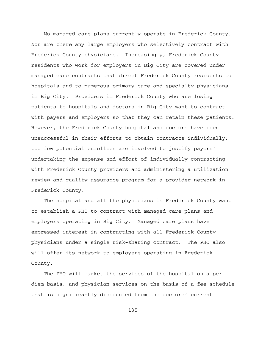No managed care plans currently operate in Frederick County. Nor are there any large employers who selectively contract with Frederick County physicians. Increasingly, Frederick County residents who work for employers in Big City are covered under managed care contracts that direct Frederick County residents to hospitals and to numerous primary care and specialty physicians in Big City. Providers in Frederick County who are losing patients to hospitals and doctors in Big City want to contract with payers and employers so that they can retain these patients. However, the Frederick County hospital and doctors have been unsuccessful in their efforts to obtain contracts individually; too few potential enrollees are involved to justify payers' undertaking the expense and effort of individually contracting with Frederick County providers and administering a utilization review and quality assurance program for a provider network in Frederick County.

The hospital and all the physicians in Frederick County want to establish a PHO to contract with managed care plans and employers operating in Big City. Managed care plans have expressed interest in contracting with all Frederick County physicians under a single risk-sharing contract. The PHO also will offer its network to employers operating in Frederick County.

The PHO will market the services of the hospital on a per diem basis, and physician services on the basis of a fee schedule that is significantly discounted from the doctors' current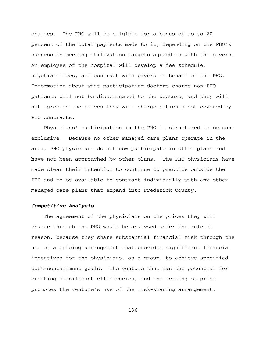charges. The PHO will be eligible for a bonus of up to 20 percent of the total payments made to it, depending on the PHO's success in meeting utilization targets agreed to with the payers. An employee of the hospital will develop a fee schedule, negotiate fees, and contract with payers on behalf of the PHO. Information about what participating doctors charge non-PHO patients will not be disseminated to the doctors, and they will not agree on the prices they will charge patients not covered by PHO contracts.

Physicians' participation in the PHO is structured to be nonexclusive. Because no other managed care plans operate in the area, PHO physicians do not now participate in other plans and have not been approached by other plans. The PHO physicians have made clear their intention to continue to practice outside the PHO and to be available to contract individually with any other managed care plans that expand into Frederick County.

#### *Competitive Analysis*

The agreement of the physicians on the prices they will charge through the PHO would be analyzed under the rule of reason, because they share substantial financial risk through the use of a pricing arrangement that provides significant financial incentives for the physicians, as a group, to achieve specified cost-containment goals. The venture thus has the potential for creating significant efficiencies, and the setting of price promotes the venture's use of the risk-sharing arrangement.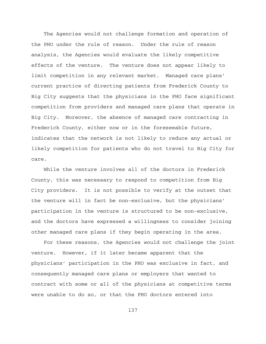The Agencies would not challenge formation and operation of the PHO under the rule of reason. Under the rule of reason analysis, the Agencies would evaluate the likely competitive effects of the venture. The venture does not appear likely to limit competition in any relevant market. Managed care plans' current practice of directing patients from Frederick County to Big City suggests that the physicians in the PHO face significant competition from providers and managed care plans that operate in Big City. Moreover, the absence of managed care contracting in Frederick County, either now or in the foreseeable future, indicates that the network is not likely to reduce any actual or likely competition for patients who do not travel to Big City for care.

While the venture involves all of the doctors in Frederick County, this was necessary to respond to competition from Big City providers. It is not possible to verify at the outset that the venture will in fact be non-exclusive, but the physicians' participation in the venture is structured to be non-exclusive, and the doctors have expressed a willingness to consider joining other managed care plans if they begin operating in the area.

For these reasons, the Agencies would not challenge the joint venture. However, if it later became apparent that the physicians' participation in the PHO was exclusive in fact, and consequently managed care plans or employers that wanted to contract with some or all of the physicians at competitive terms were unable to do so, or that the PHO doctors entered into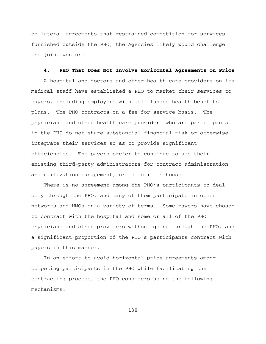collateral agreements that restrained competition for services furnished outside the PHO, the Agencies likely would challenge the joint venture.

#### **4. PHO That Does Not Involve Horizontal Agreements On Price**

A hospital and doctors and other health care providers on its medical staff have established a PHO to market their services to payers, including employers with self-funded health benefits plans. The PHO contracts on a fee-for-service basis. The physicians and other health care providers who are participants in the PHO do not share substantial financial risk or otherwise integrate their services so as to provide significant efficiencies. The payers prefer to continue to use their existing third-party administrators for contract administration and utilization management, or to do it in-house.

There is no agreement among the PHO's participants to deal only through the PHO, and many of them participate in other networks and HMOs on a variety of terms. Some payers have chosen to contract with the hospital and some or all of the PHO physicians and other providers without going through the PHO, and a significant proportion of the PHO's participants contract with payers in this manner.

In an effort to avoid horizontal price agreements among competing participants in the PHO while facilitating the contracting process, the PHO considers using the following mechanisms: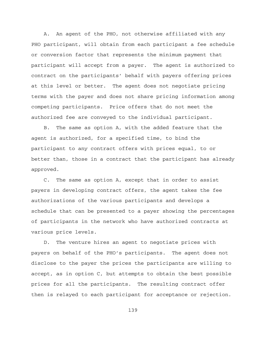A. An agent of the PHO, not otherwise affiliated with any PHO participant, will obtain from each participant a fee schedule or conversion factor that represents the minimum payment that participant will accept from a payer. The agent is authorized to contract on the participants' behalf with payers offering prices at this level or better. The agent does not negotiate pricing terms with the payer and does not share pricing information among competing participants. Price offers that do not meet the authorized fee are conveyed to the individual participant.

B. The same as option A, with the added feature that the agent is authorized, for a specified time, to bind the participant to any contract offers with prices equal, to or better than, those in a contract that the participant has already approved.

C. The same as option A, except that in order to assist payers in developing contract offers, the agent takes the fee authorizations of the various participants and develops a schedule that can be presented to a payer showing the percentages of participants in the network who have authorized contracts at various price levels.

D. The venture hires an agent to negotiate prices with payers on behalf of the PHO's participants. The agent does not disclose to the payer the prices the participants are willing to accept, as in option C, but attempts to obtain the best possible prices for all the participants. The resulting contract offer then is relayed to each participant for acceptance or rejection.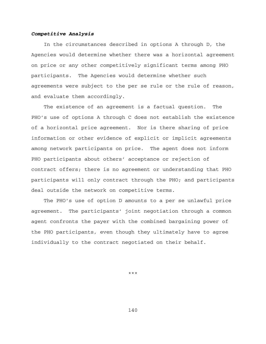#### *Competitive Analysis*

In the circumstances described in options A through D, the Agencies would determine whether there was a horizontal agreement on price or any other competitively significant terms among PHO participants. The Agencies would determine whether such agreements were subject to the per se rule or the rule of reason, and evaluate them accordingly.

The existence of an agreement is a factual question. The PHO's use of options A through C does not establish the existence of a horizontal price agreement. Nor is there sharing of price information or other evidence of explicit or implicit agreements among network participants on price. The agent does not inform PHO participants about others' acceptance or rejection of contract offers; there is no agreement or understanding that PHO participants will only contract through the PHO; and participants deal outside the network on competitive terms.

The PHO's use of option D amounts to a per se unlawful price agreement. The participants' joint negotiation through a common agent confronts the payer with the combined bargaining power of the PHO participants, even though they ultimately have to agree individually to the contract negotiated on their behalf.

\*\*\*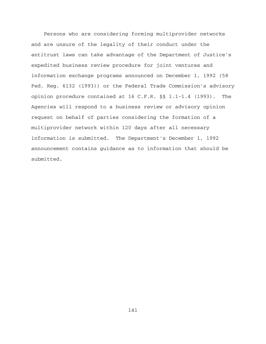Persons who are considering forming multiprovider networks and are unsure of the legality of their conduct under the antitrust laws can take advantage of the Department of Justice's expedited business review procedure for joint ventures and information exchange programs announced on December 1, 1992 (58 Fed. Reg. 6132 (1993)) or the Federal Trade Commission's advisory opinion procedure contained at 16 C.F.R. §§ 1.1-1.4 (1993). The Agencies will respond to a business review or advisory opinion request on behalf of parties considering the formation of a multiprovider network within 120 days after all necessary information is submitted. The Department's December 1, 1992 announcement contains guidance as to information that should be submitted.